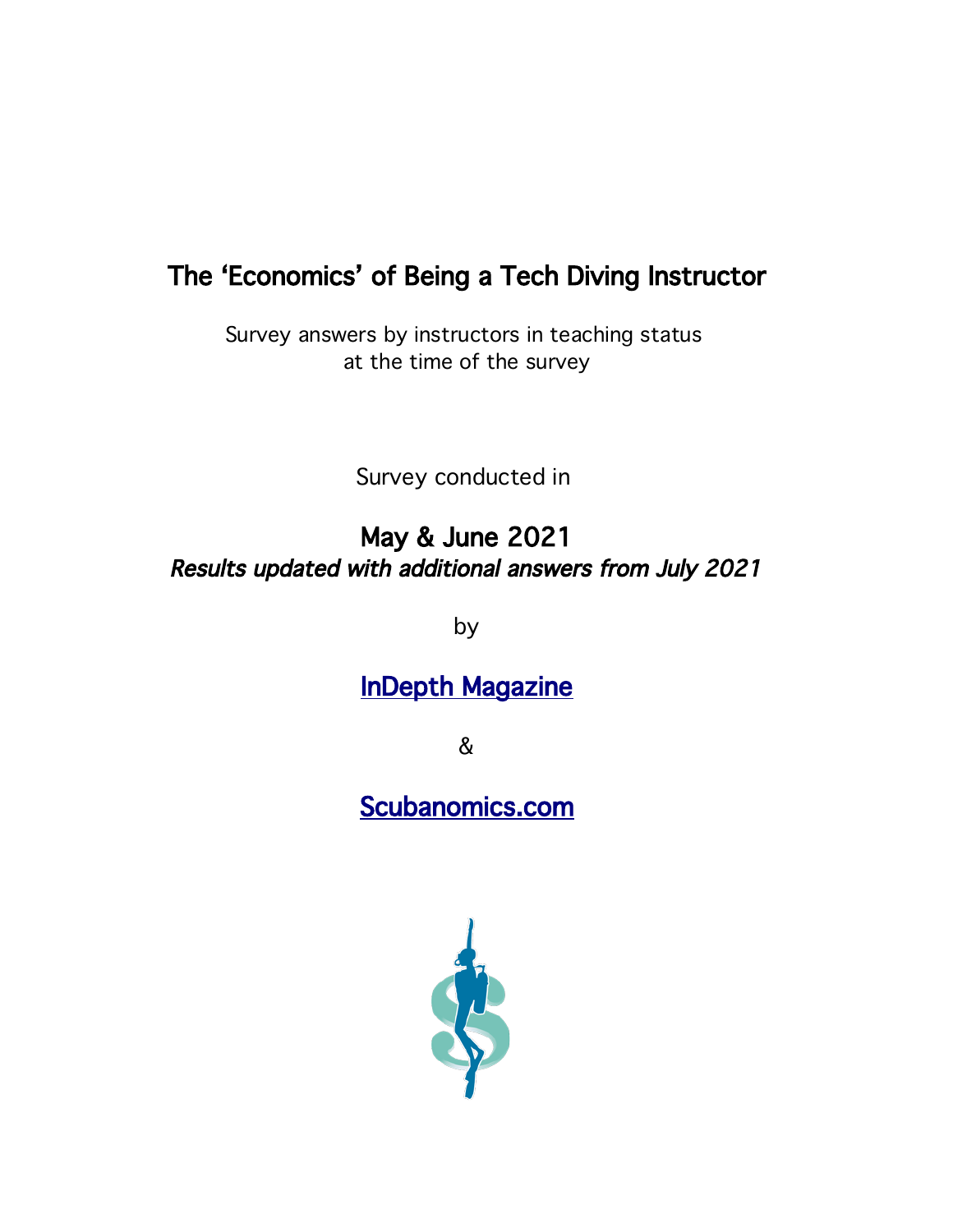# The 'Economics' of Being a Tech Diving Instructor

Survey answers by instructors in teaching status at the time of the survey

Survey conducted in

# May & June 2021 Results updated with additional answers from July 2021

by

# **InDepth Magazine**

&

# Scubanomics.com

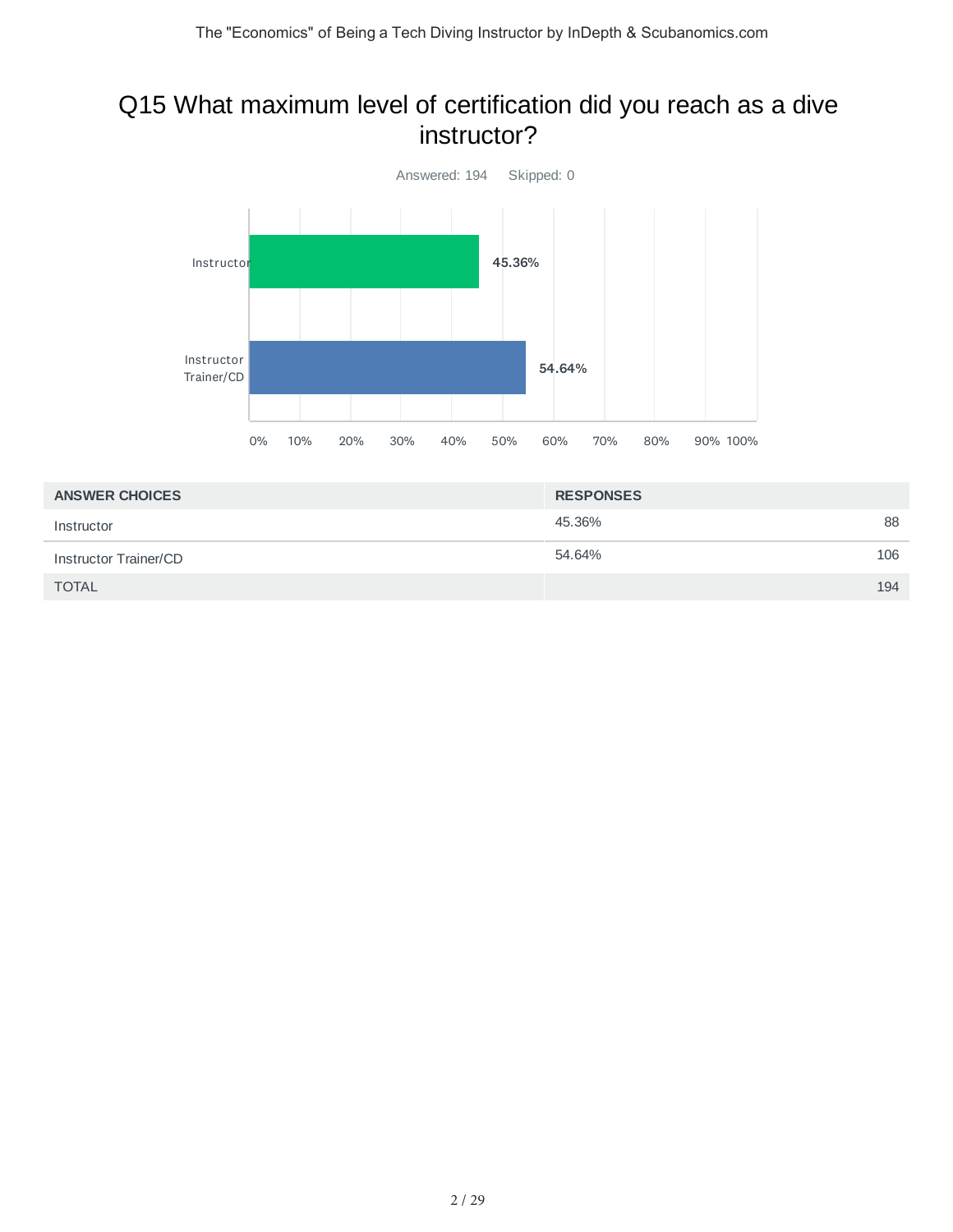#### Q15 What maximum level of certification did you reach as a dive instructor?



| <b>ANSWER CHOICES</b> | <b>RESPONSES</b> |     |
|-----------------------|------------------|-----|
| Instructor            | 45.36%           | 88  |
| Instructor Trainer/CD | 54.64%           | 106 |
| <b>TOTAL</b>          |                  | 194 |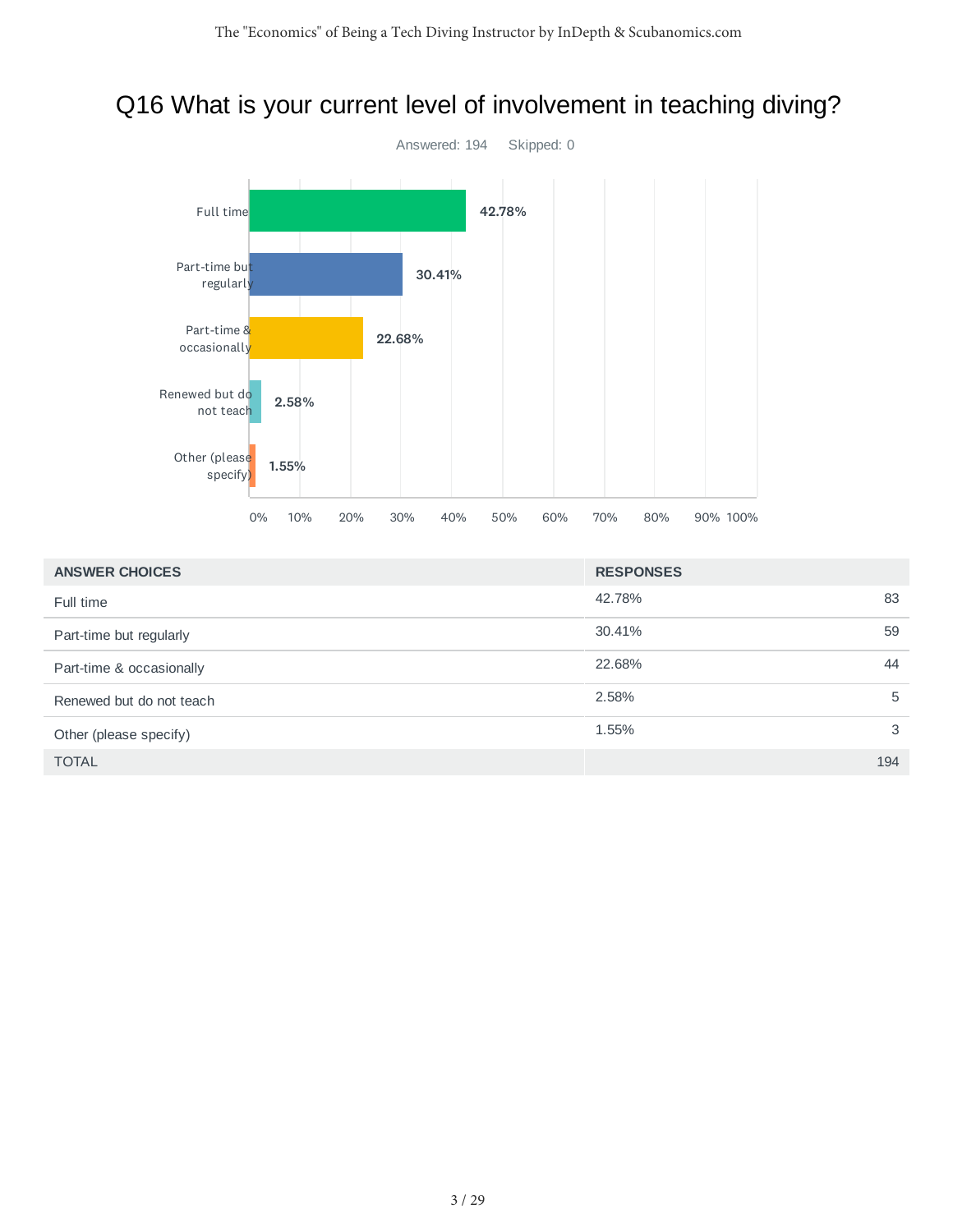# Q16 What is your current level of involvement in teaching diving?



| <b>ANSWER CHOICES</b>    | <b>RESPONSES</b> |     |
|--------------------------|------------------|-----|
| Full time                | 42.78%           | 83  |
| Part-time but regularly  | 30.41%           | 59  |
| Part-time & occasionally | 22.68%           | 44  |
| Renewed but do not teach | 2.58%            | 5   |
| Other (please specify)   | 1.55%            | 3   |
| <b>TOTAL</b>             |                  | 194 |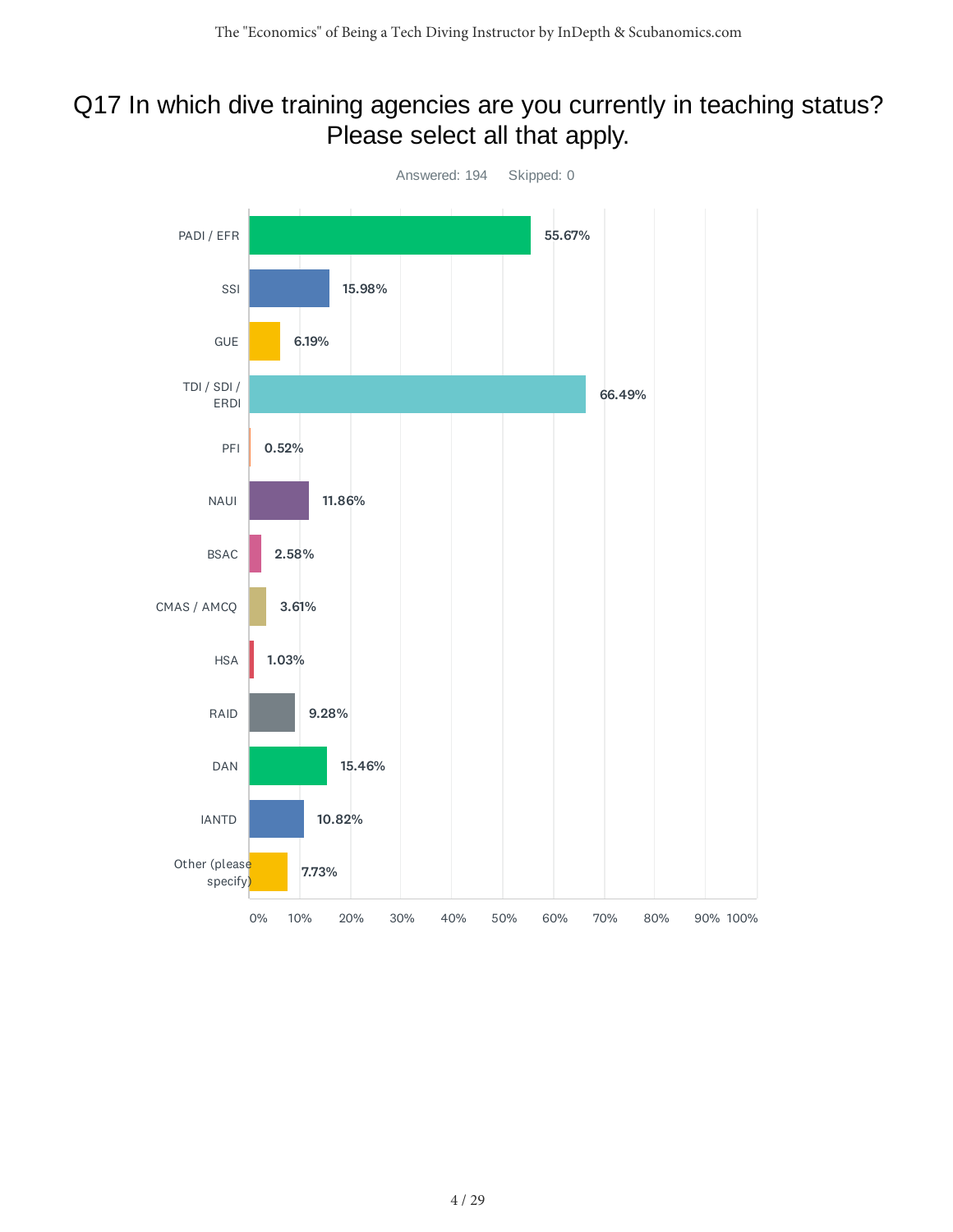### Q17 In which dive training agencies are you currently in teaching status? Please select all that apply.

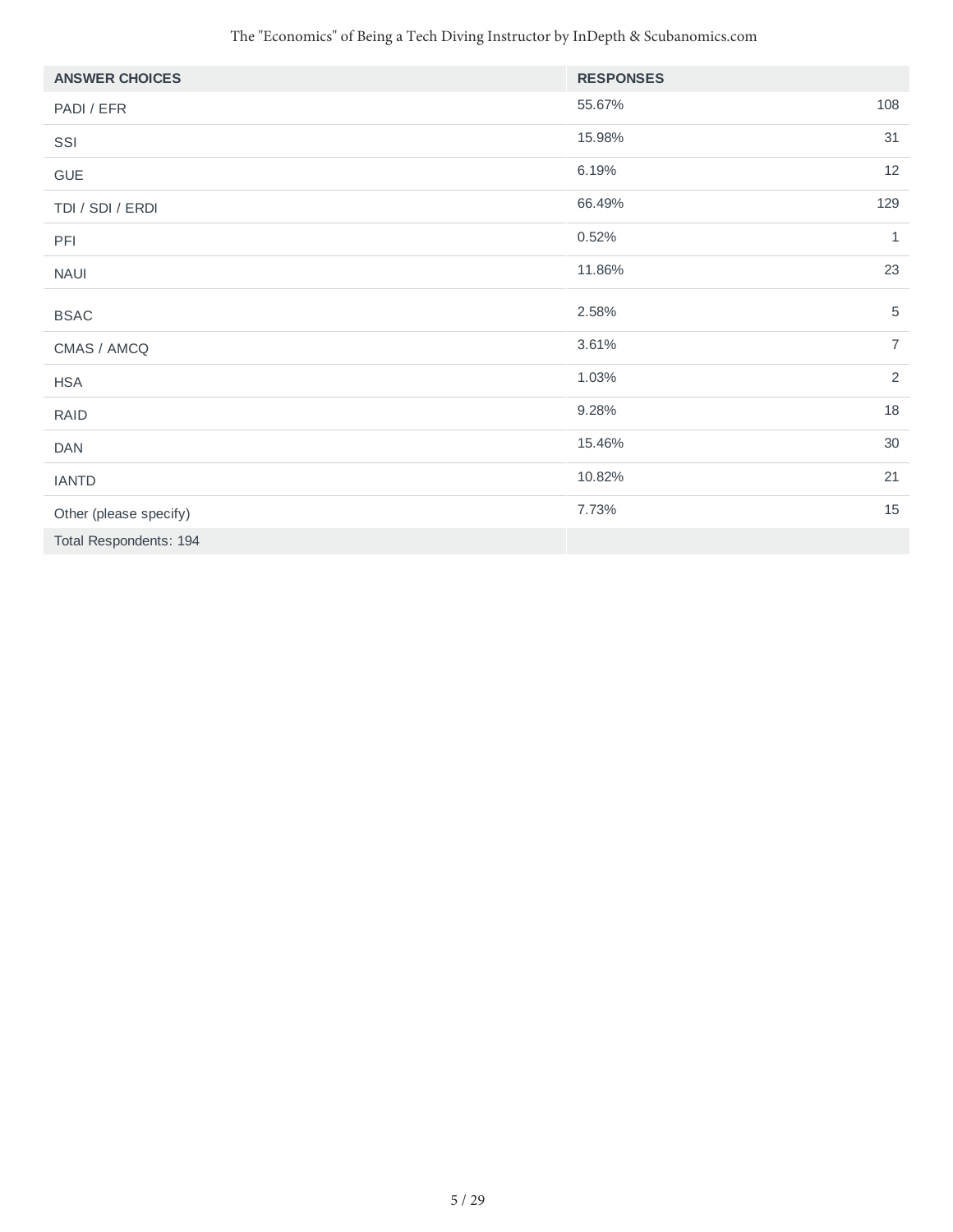| <b>ANSWER CHOICES</b>  | <b>RESPONSES</b> |                |
|------------------------|------------------|----------------|
| PADI / EFR             | 55.67%           | 108            |
| SSI                    | 15.98%           | 31             |
| GUE                    | 6.19%            | 12             |
| TDI / SDI / ERDI       | 66.49%           | 129            |
| PFI                    | 0.52%            | 1              |
| <b>NAUI</b>            | 11.86%           | 23             |
| <b>BSAC</b>            | 2.58%            | $\mathbf 5$    |
| CMAS / AMCQ            | 3.61%            | $\overline{7}$ |
| <b>HSA</b>             | 1.03%            | $\sqrt{2}$     |
| <b>RAID</b>            | 9.28%            | $18\,$         |
| <b>DAN</b>             | 15.46%           | 30             |
| <b>IANTD</b>           | 10.82%           | 21             |
| Other (please specify) | 7.73%            | 15             |
| Total Respondents: 194 |                  |                |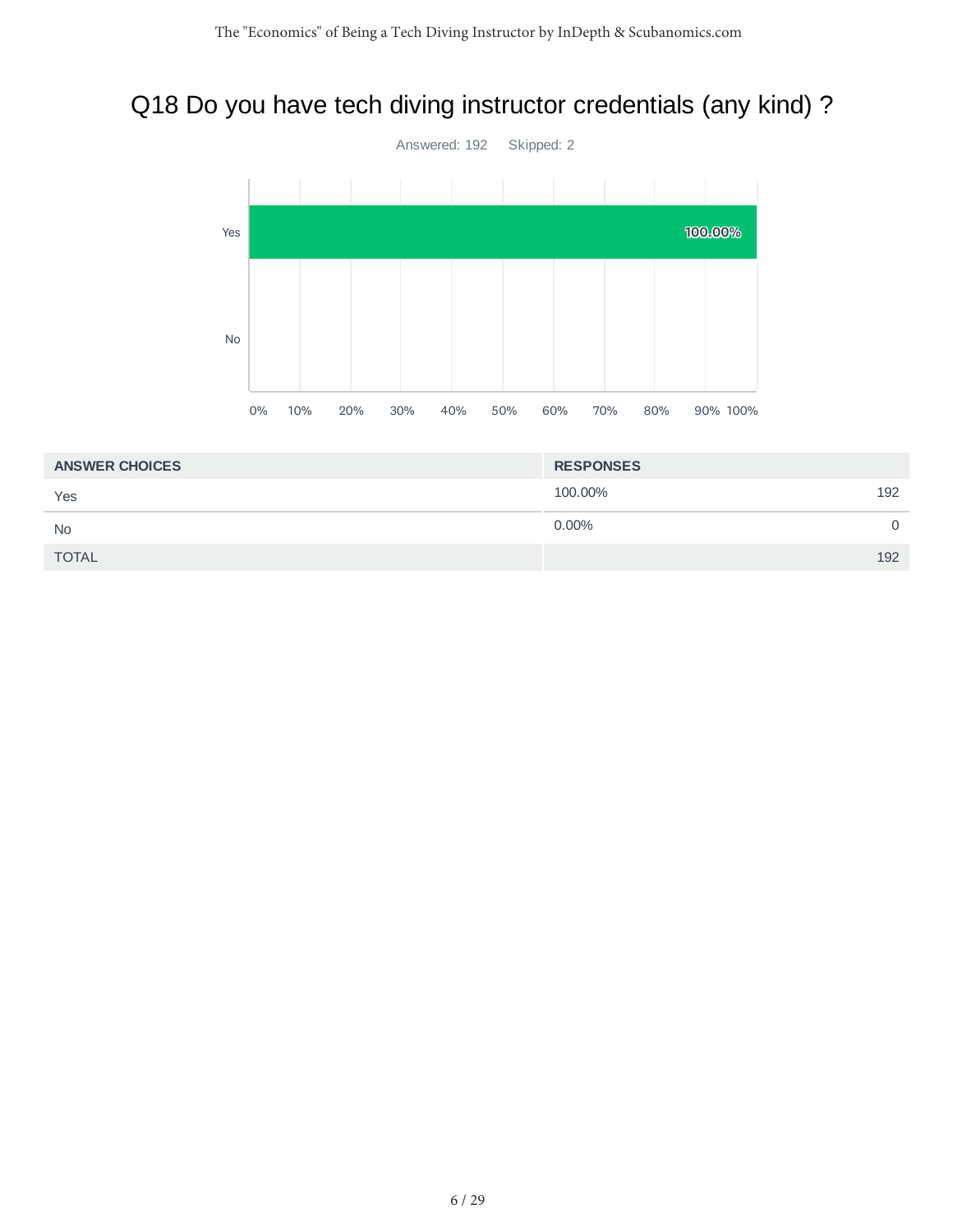# Q18 Do you have tech diving instructor credentials (any kind) ?



| <b>ANSWER CHOICES</b> | <b>RESPONSES</b> |     |
|-----------------------|------------------|-----|
| Yes                   | 100,00%          | 192 |
| <b>No</b>             | $0.00\%$         | 0   |
| <b>TOTAL</b>          |                  | 192 |
|                       |                  |     |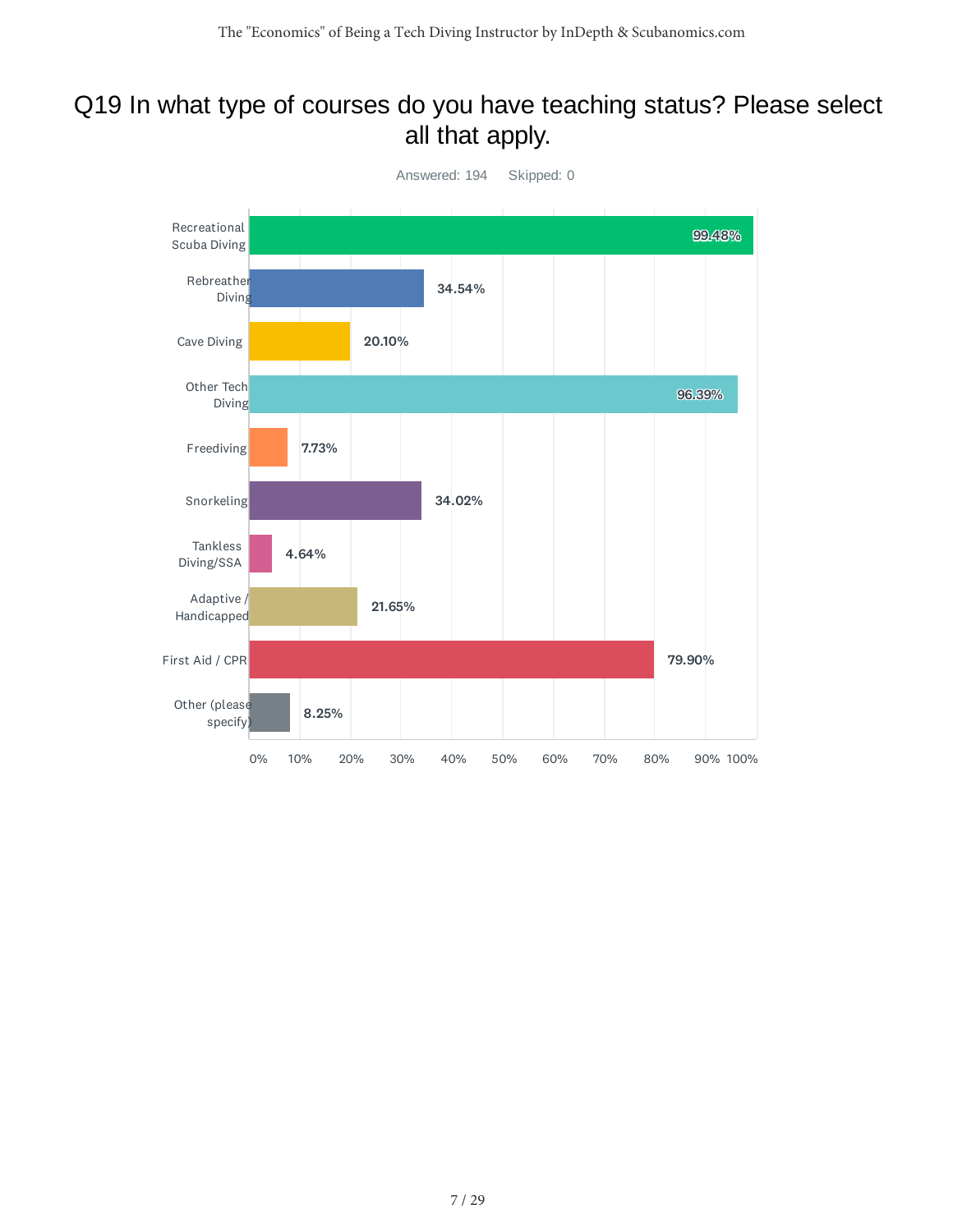### Q19 In what type of courses do you have teaching status? Please select all that apply.

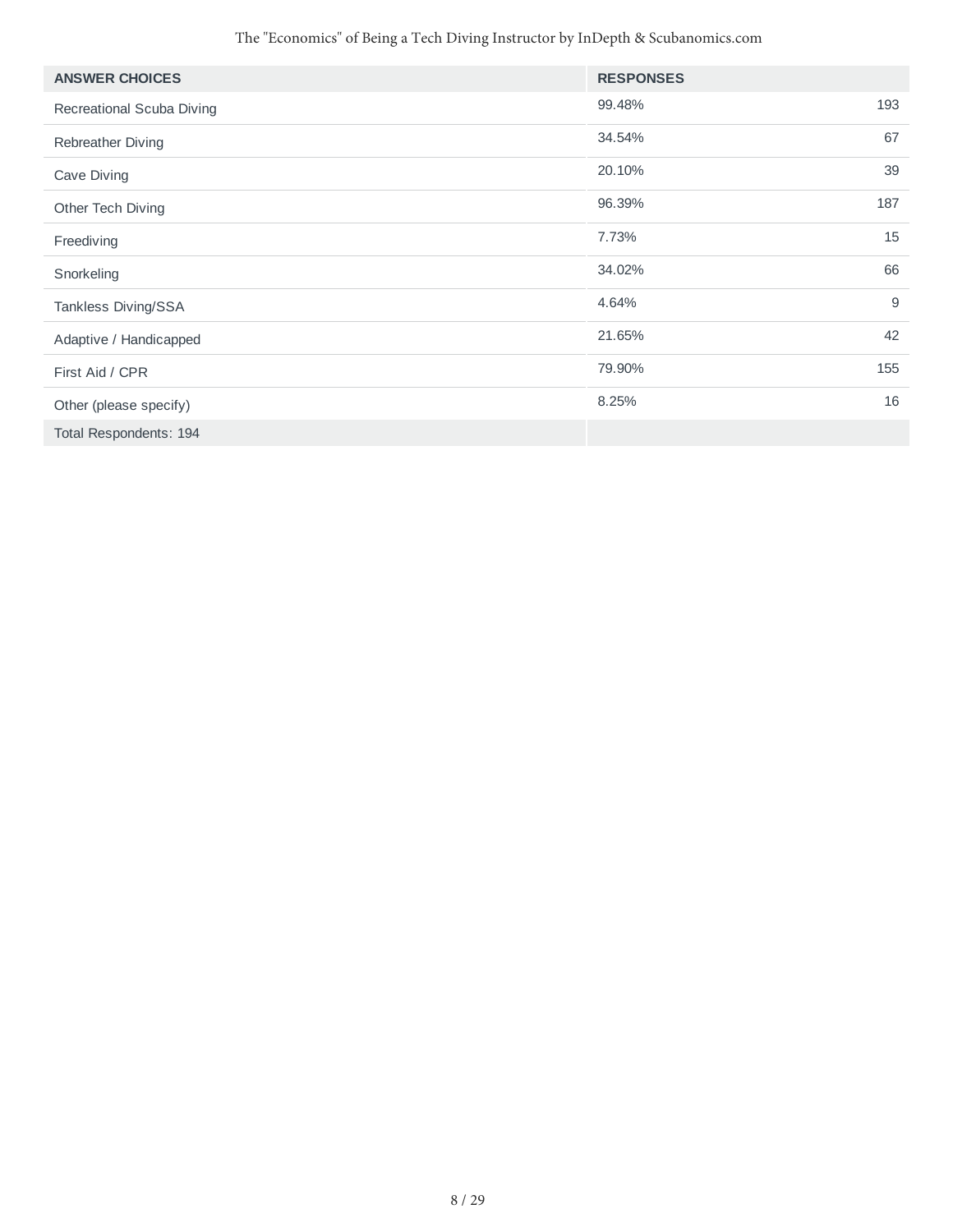| <b>ANSWER CHOICES</b>     | <b>RESPONSES</b> |     |
|---------------------------|------------------|-----|
| Recreational Scuba Diving | 99.48%           | 193 |
| Rebreather Diving         | 34.54%           | 67  |
| Cave Diving               | 20.10%           | 39  |
| Other Tech Diving         | 96.39%           | 187 |
| Freediving                | 7.73%            | 15  |
| Snorkeling                | 34.02%           | 66  |
| Tankless Diving/SSA       | 4.64%            | 9   |
| Adaptive / Handicapped    | 21.65%           | 42  |
| First Aid / CPR           | 79.90%           | 155 |
| Other (please specify)    | 8.25%            | 16  |
| Total Respondents: 194    |                  |     |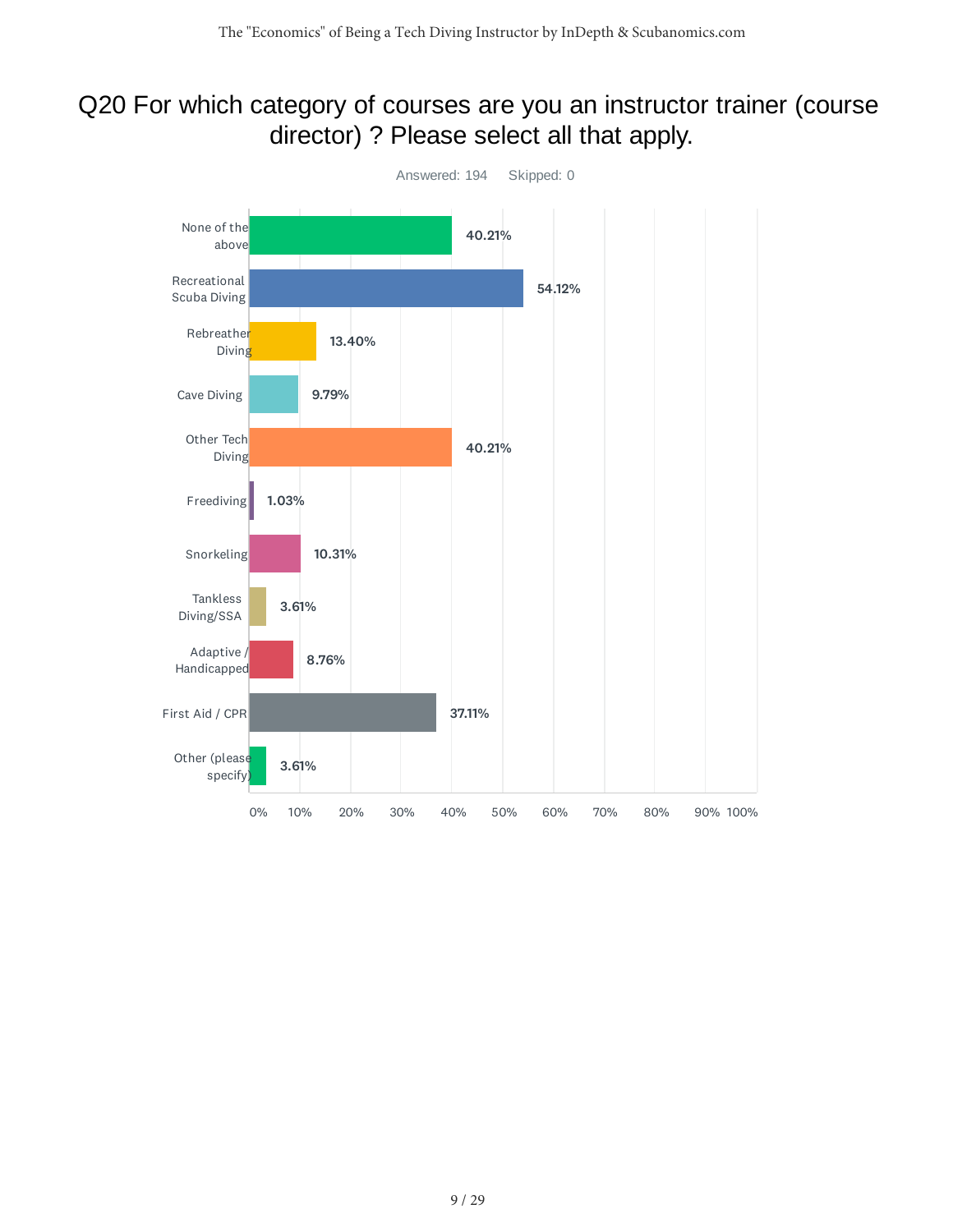### Q20 For which category of courses are you an instructor trainer (course director) ? Please select all that apply.

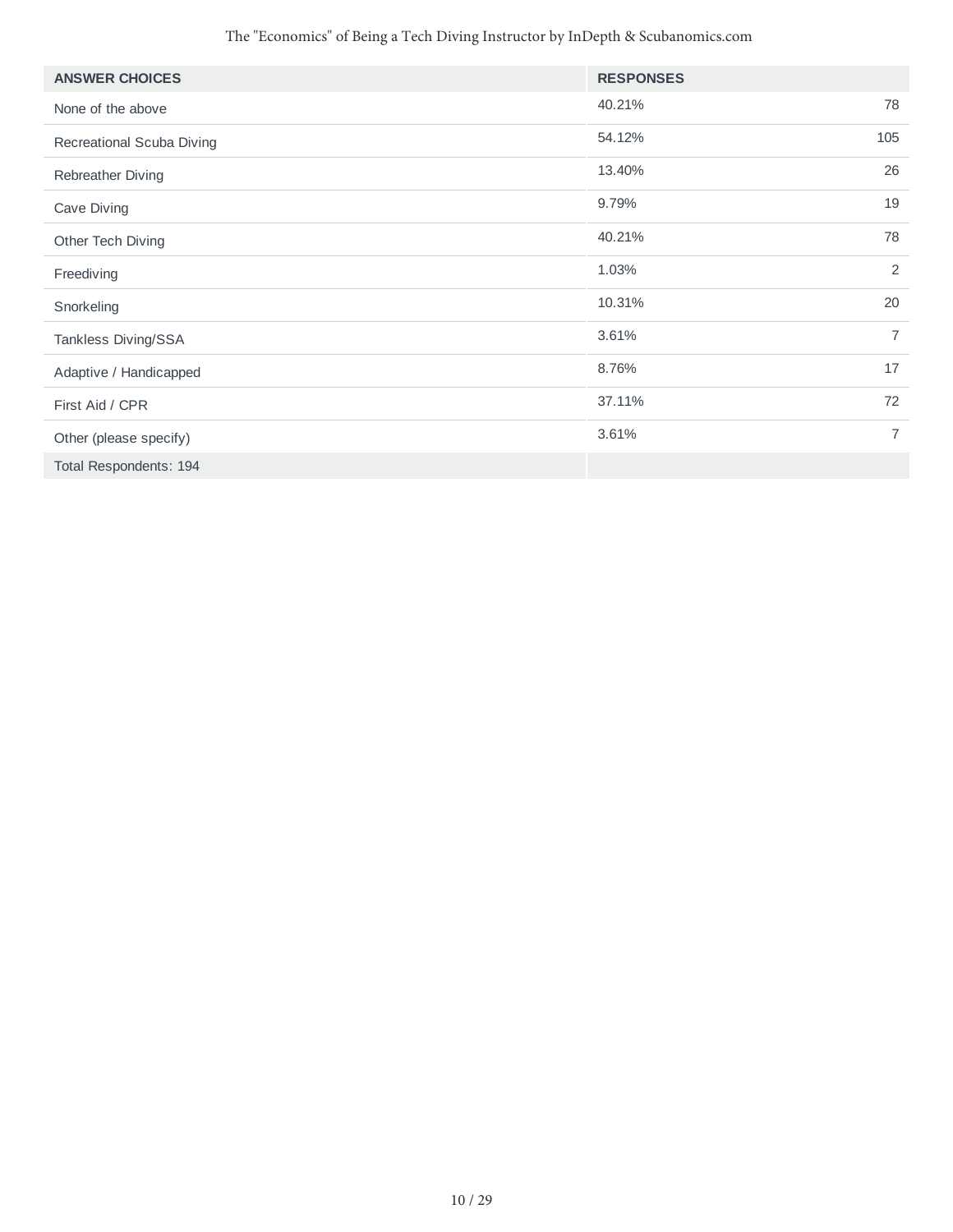| <b>ANSWER CHOICES</b>     | <b>RESPONSES</b> |                |
|---------------------------|------------------|----------------|
| None of the above         | 40.21%           | 78             |
| Recreational Scuba Diving | 54.12%           | 105            |
| Rebreather Diving         | 13.40%           | 26             |
| Cave Diving               | 9.79%            | 19             |
| Other Tech Diving         | 40.21%           | 78             |
| Freediving                | 1.03%            | $\overline{2}$ |
| Snorkeling                | 10.31%           | 20             |
| Tankless Diving/SSA       | 3.61%            | $\overline{7}$ |
| Adaptive / Handicapped    | 8.76%            | 17             |
| First Aid / CPR           | 37.11%           | 72             |
| Other (please specify)    | 3.61%            | $\overline{7}$ |
| Total Respondents: 194    |                  |                |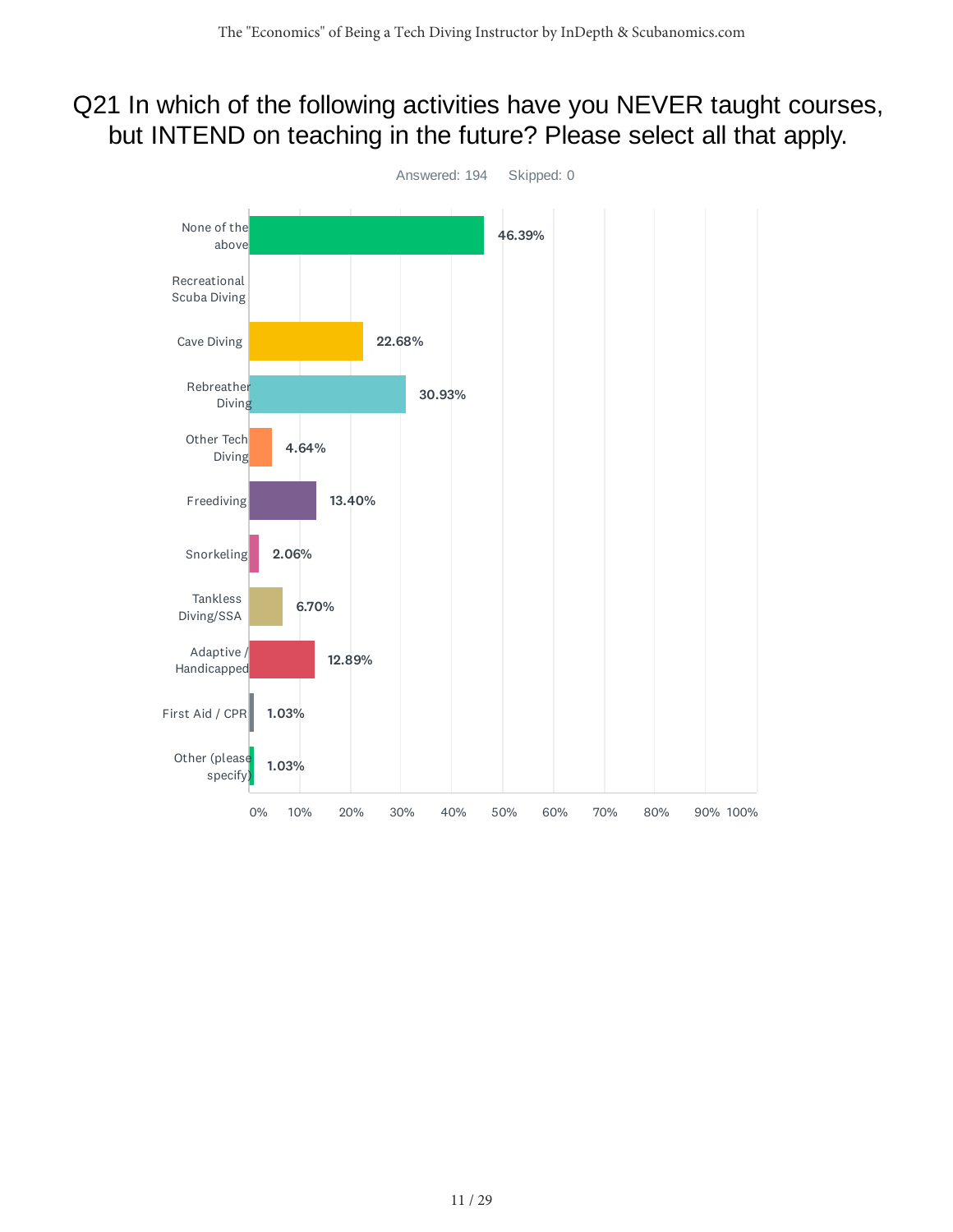### Q21 In which of the following activities have you NEVER taught courses, but INTEND on teaching in the future? Please select all that apply.

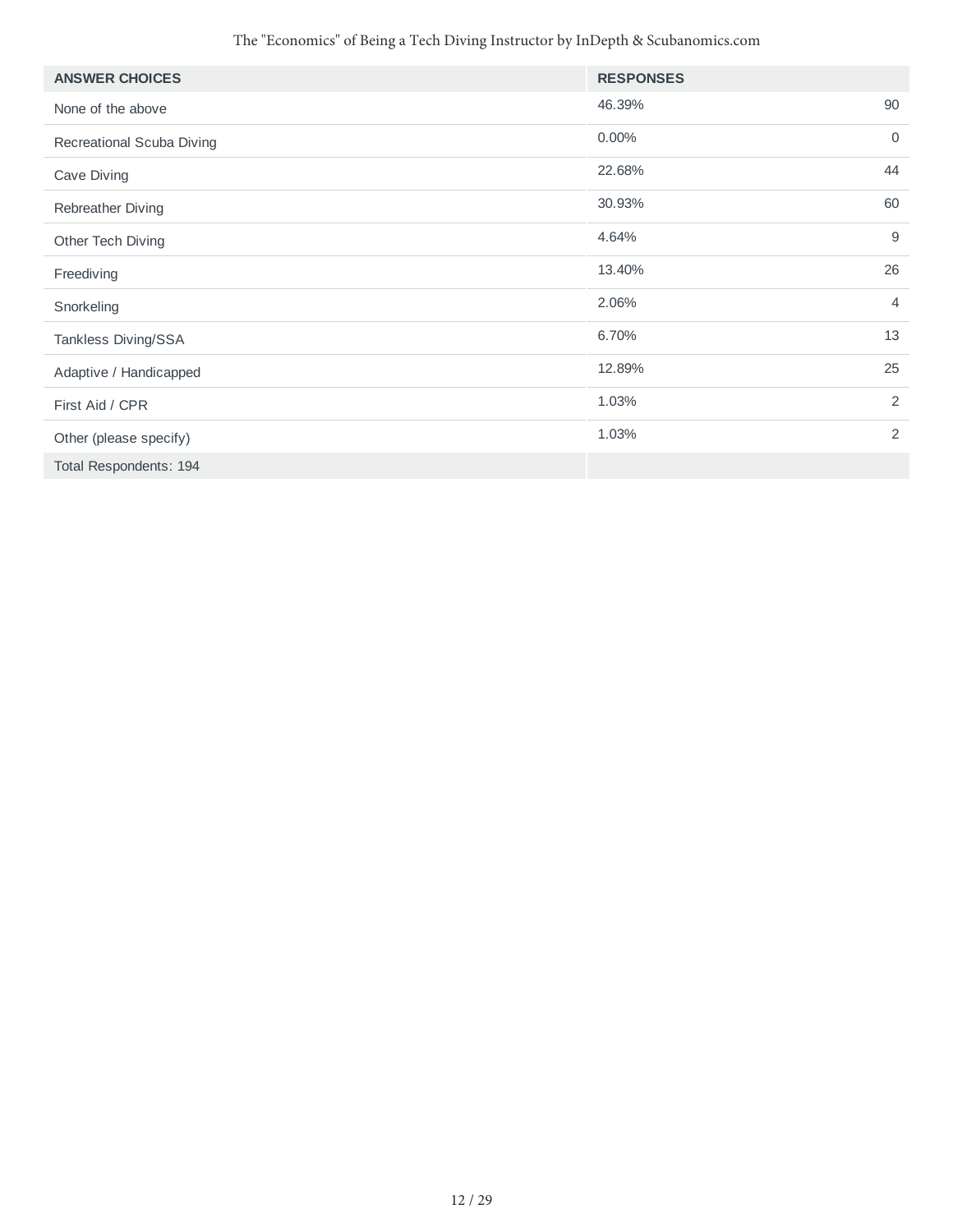| <b>ANSWER CHOICES</b>     | <b>RESPONSES</b> |                |
|---------------------------|------------------|----------------|
| None of the above         | 46.39%           | 90             |
| Recreational Scuba Diving | 0.00%            | $\mathbf 0$    |
| Cave Diving               | 22.68%           | 44             |
| Rebreather Diving         | 30.93%           | 60             |
| Other Tech Diving         | 4.64%            | 9              |
| Freediving                | 13.40%           | 26             |
| Snorkeling                | 2.06%            | $\overline{4}$ |
| Tankless Diving/SSA       | 6.70%            | 13             |
| Adaptive / Handicapped    | 12.89%           | 25             |
| First Aid / CPR           | 1.03%            | 2              |
| Other (please specify)    | 1.03%            | $\overline{2}$ |
| Total Respondents: 194    |                  |                |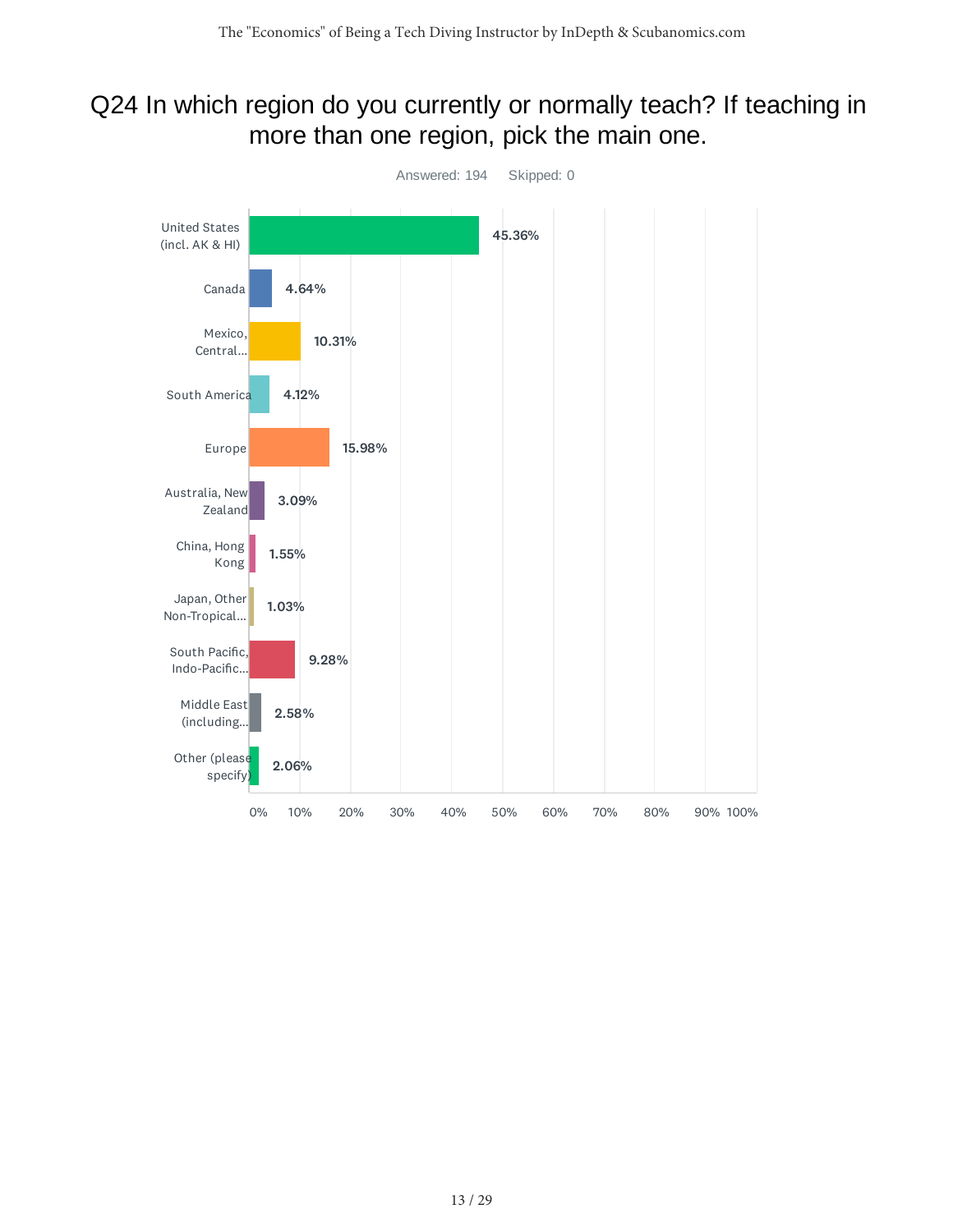#### Q24 In which region do you currently or normally teach? If teaching in more than one region, pick the main one.

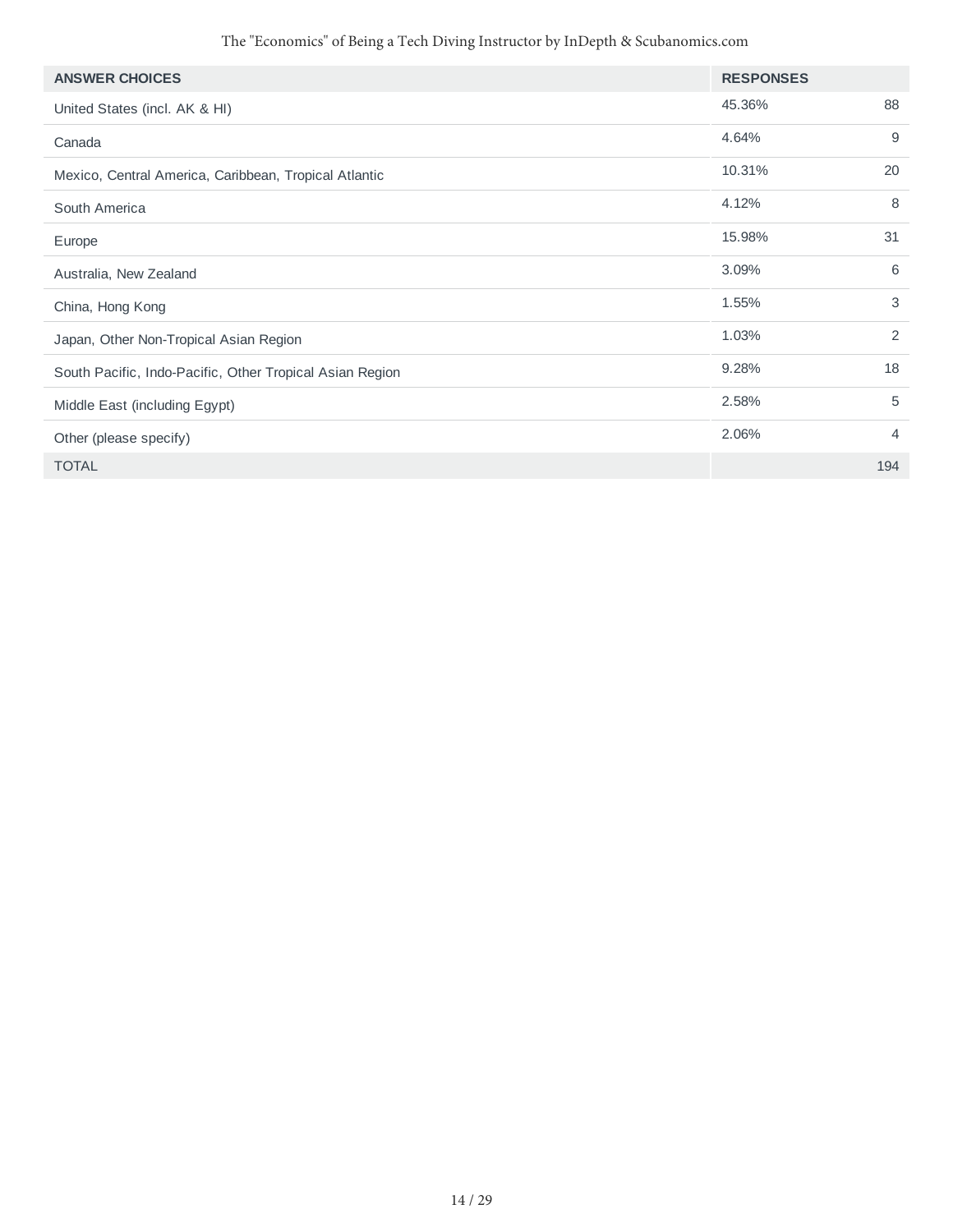| <b>ANSWER CHOICES</b>                                    | <b>RESPONSES</b> |                |
|----------------------------------------------------------|------------------|----------------|
| United States (incl. AK & HI)                            | 45.36%           | 88             |
| Canada                                                   | 4.64%            | 9              |
| Mexico, Central America, Caribbean, Tropical Atlantic    | 10.31%           | 20             |
| South America                                            | 4.12%            | 8              |
| Europe                                                   | 15.98%           | 31             |
| Australia, New Zealand                                   | 3.09%            | 6              |
| China, Hong Kong                                         | 1.55%            | 3              |
| Japan, Other Non-Tropical Asian Region                   | 1.03%            | 2              |
| South Pacific, Indo-Pacific, Other Tropical Asian Region | 9.28%            | 18             |
| Middle East (including Egypt)                            | 2.58%            | 5              |
| Other (please specify)                                   | 2.06%            | $\overline{4}$ |
| <b>TOTAL</b>                                             |                  | 194            |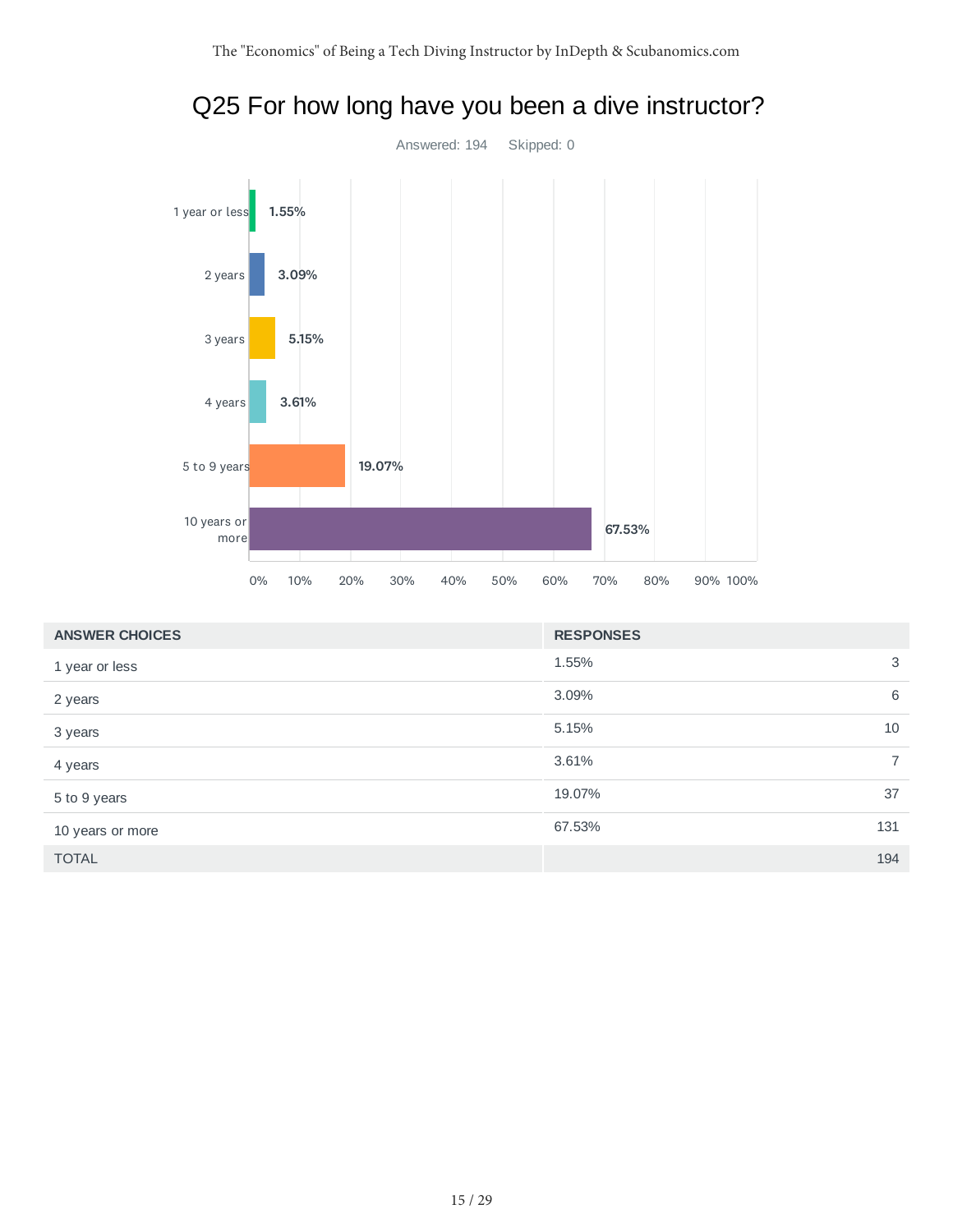

| <b>ANSWER CHOICES</b> | <b>RESPONSES</b> |                |
|-----------------------|------------------|----------------|
| 1 year or less        | 1.55%            | 3              |
| 2 years               | 3.09%            | 6              |
| 3 years               | 5.15%            | 10             |
| 4 years               | 3.61%            | $\overline{7}$ |
| 5 to 9 years          | 19.07%           | 37             |
| 10 years or more      | 67.53%           | 131            |
| <b>TOTAL</b>          |                  | 194            |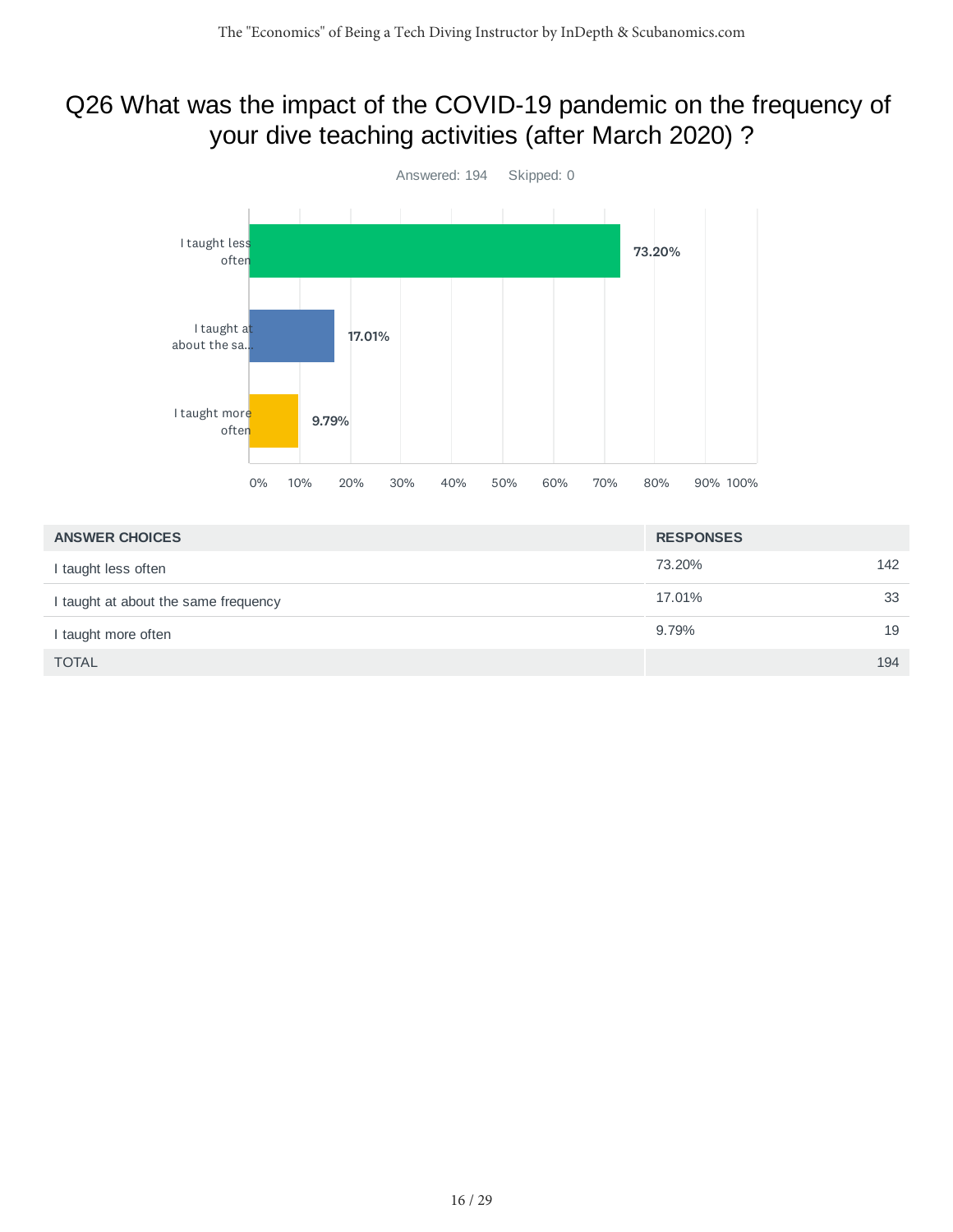### Q26 What was the impact of the COVID-19 pandemic on the frequency of your dive teaching activities (after March 2020) ?



| <b>ANSWER CHOICES</b>                | <b>RESPONSES</b> |     |
|--------------------------------------|------------------|-----|
| I taught less often                  | 73.20%           | 142 |
| I taught at about the same frequency | 17.01%           | 33  |
| I taught more often                  | 9.79%            | 19  |
| <b>TOTAL</b>                         |                  | 194 |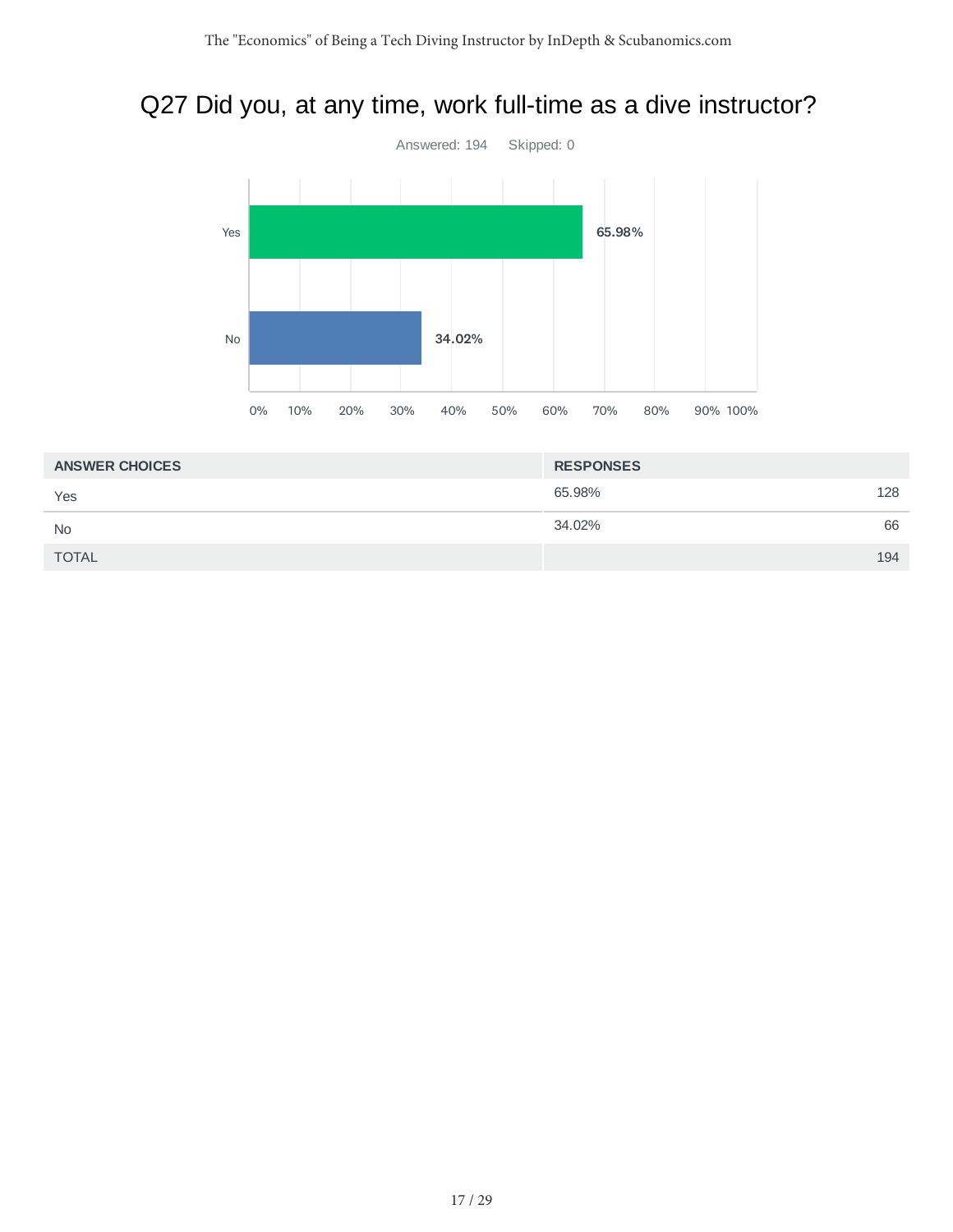## Q27 Did you, at any time, work full-time as a dive instructor?



| <b>ANSWER CHOICES</b> | <b>RESPONSES</b> |     |
|-----------------------|------------------|-----|
| Yes                   | 65.98%           | 128 |
| <b>No</b>             | 34.02%           | 66  |
| <b>TOTAL</b>          |                  | 194 |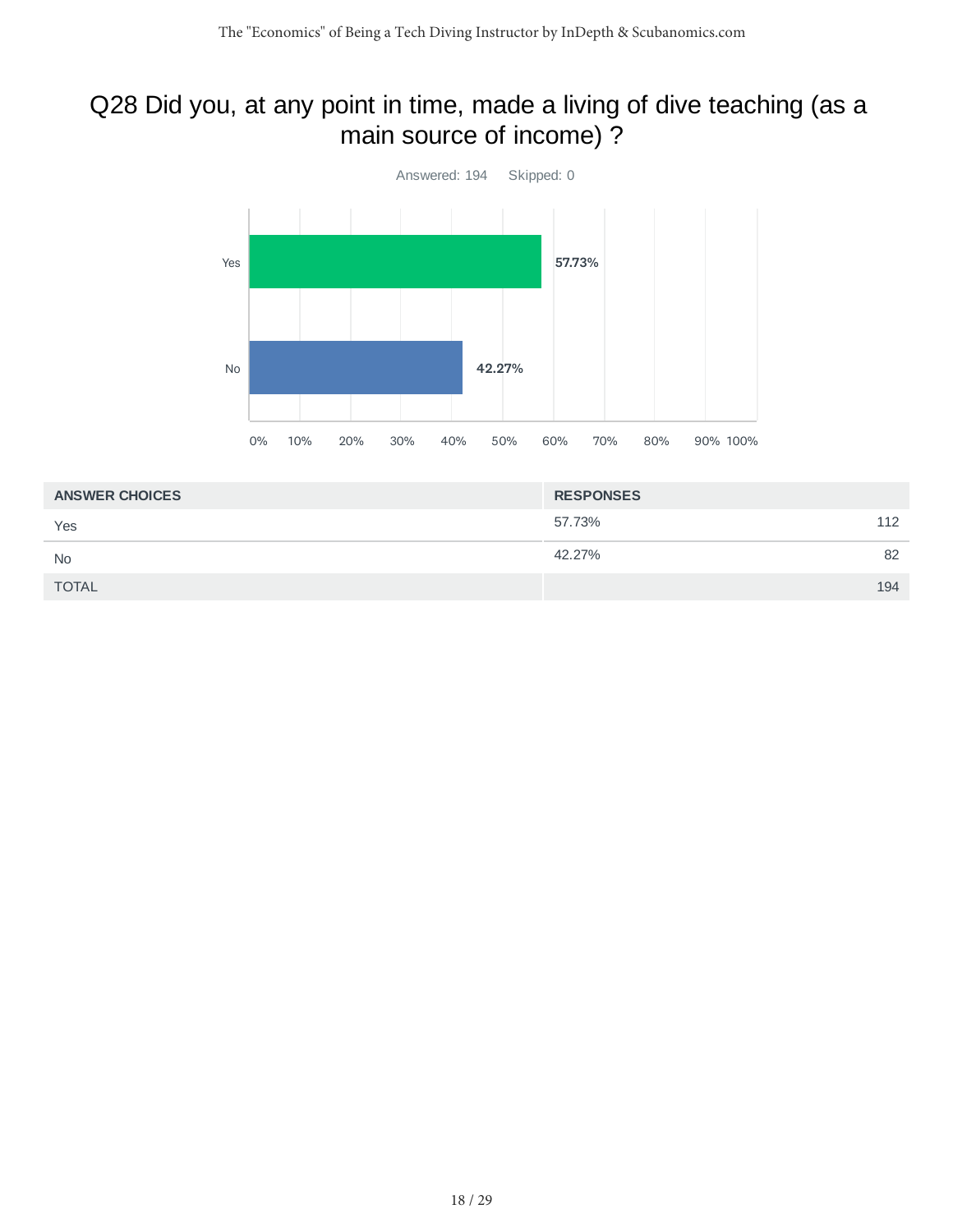## Q28 Did you, at any point in time, made a living of dive teaching (as a main source of income) ?



| <b>ANSWER CHOICES</b> | <b>RESPONSES</b> |
|-----------------------|------------------|
| Yes                   | 57.73%<br>112    |
| <b>No</b>             | 82<br>42.27%     |
| <b>TOTAL</b>          | 194              |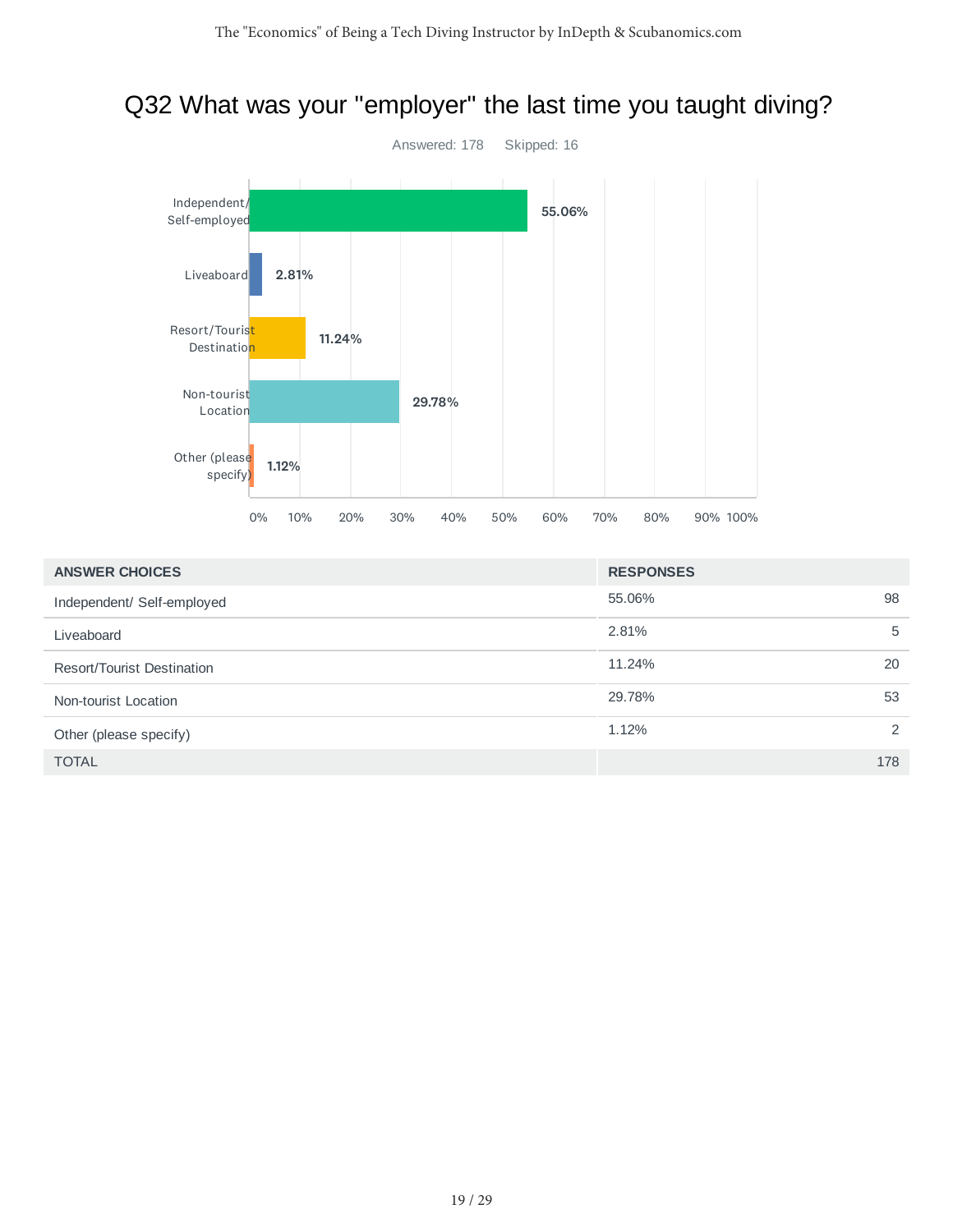# Q32 What was your "employer" the last time you taught diving?



| <b>ANSWER CHOICES</b>             | <b>RESPONSES</b> |     |
|-----------------------------------|------------------|-----|
| Independent/ Self-employed        | 55.06%           | 98  |
| Liveaboard                        | 2.81%            | 5   |
| <b>Resort/Tourist Destination</b> | 11.24%           | 20  |
| Non-tourist Location              | 29.78%           | 53  |
| Other (please specify)            | 1.12%            | 2   |
| <b>TOTAL</b>                      |                  | 178 |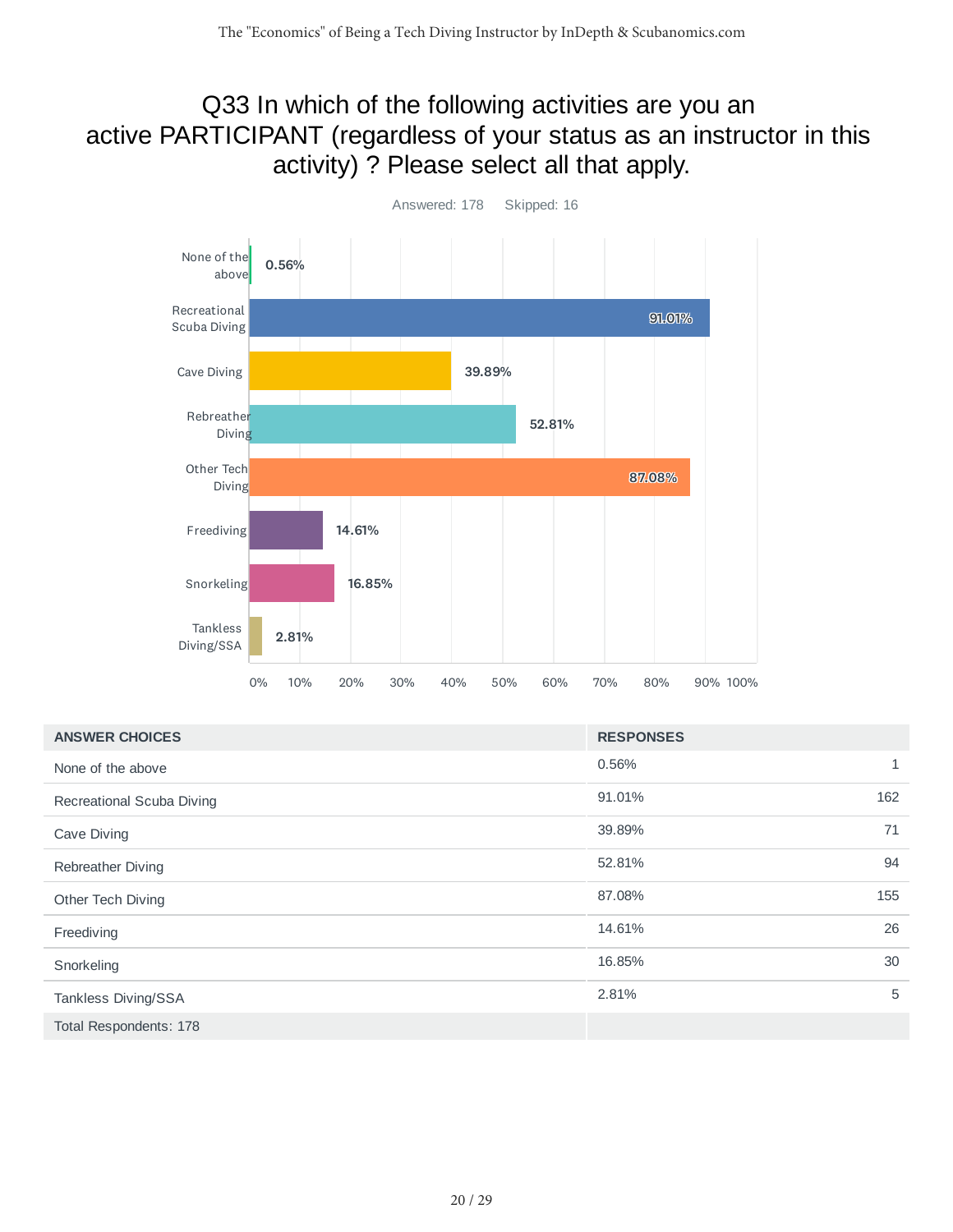### Q33 In which of the following activities are you an active PARTICIPANT (regardless of your status as an instructor in this activity) ? Please select all that apply.



| <b>ANSWER CHOICES</b>     | <b>RESPONSES</b>      |
|---------------------------|-----------------------|
| None of the above         | 0.56%<br>$\mathbf{1}$ |
| Recreational Scuba Diving | 162<br>91.01%         |
| Cave Diving               | 71<br>39.89%          |
| Rebreather Diving         | 94<br>52.81%          |
| Other Tech Diving         | 155<br>87.08%         |
| Freediving                | 26<br>14.61%          |
| Snorkeling                | 30<br>16.85%          |
| Tankless Diving/SSA       | 5<br>2.81%            |
| Total Respondents: 178    |                       |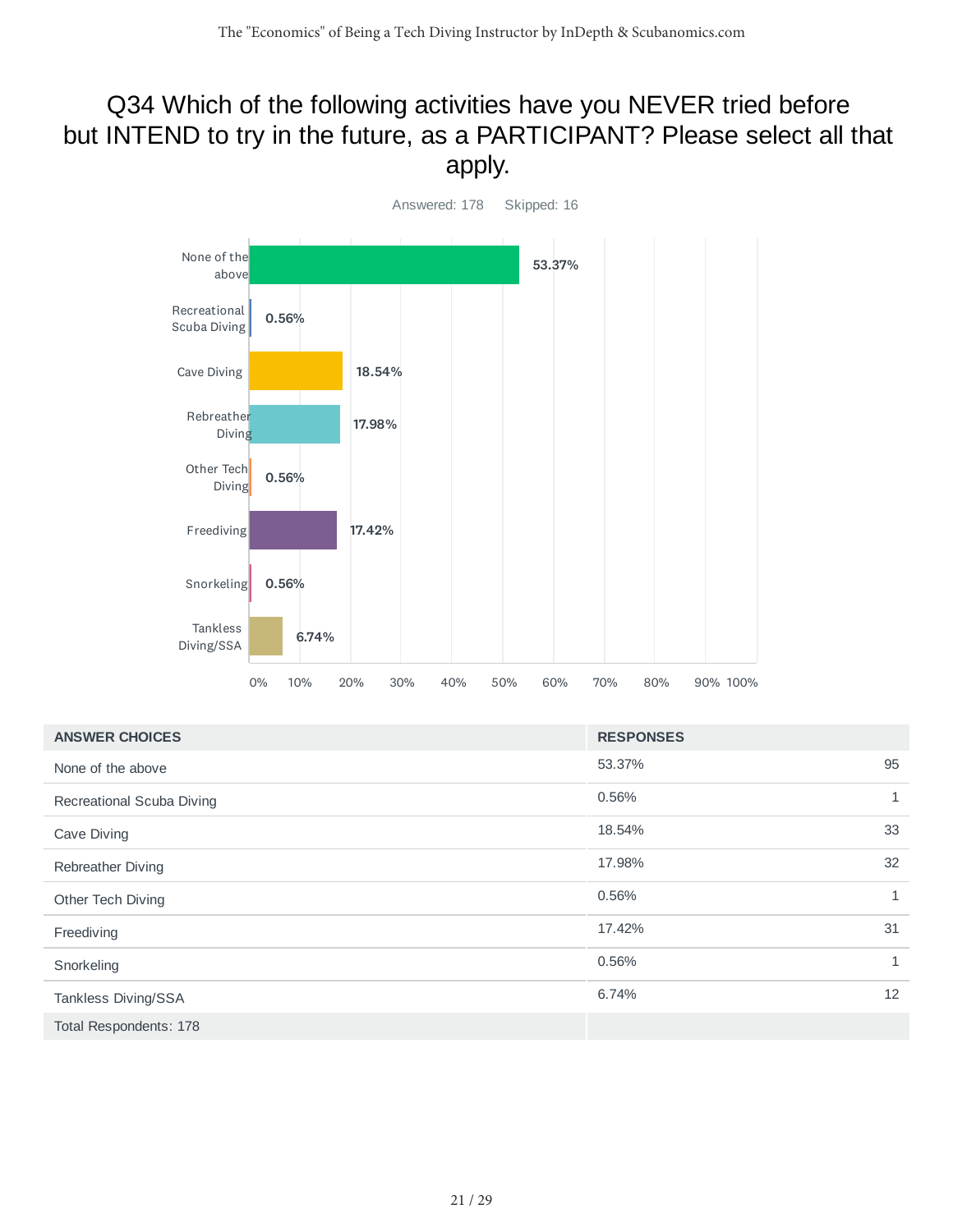### Q34 Which of the following activities have you NEVER tried before but INTEND to try in the future, as a PARTICIPANT? Please select all that apply.



| <b>ANSWER CHOICES</b>     | <b>RESPONSES</b> |              |
|---------------------------|------------------|--------------|
| None of the above         | 53.37%           | 95           |
| Recreational Scuba Diving | 0.56%            | $\mathbf{1}$ |
| Cave Diving               | 18.54%           | 33           |
| Rebreather Diving         | 17.98%           | 32           |
| Other Tech Diving         | 0.56%            | $\mathbf{1}$ |
| Freediving                | 17.42%           | 31           |
| Snorkeling                | 0.56%            | $\mathbf{1}$ |
| Tankless Diving/SSA       | 6.74%            | 12           |
| Total Respondents: 178    |                  |              |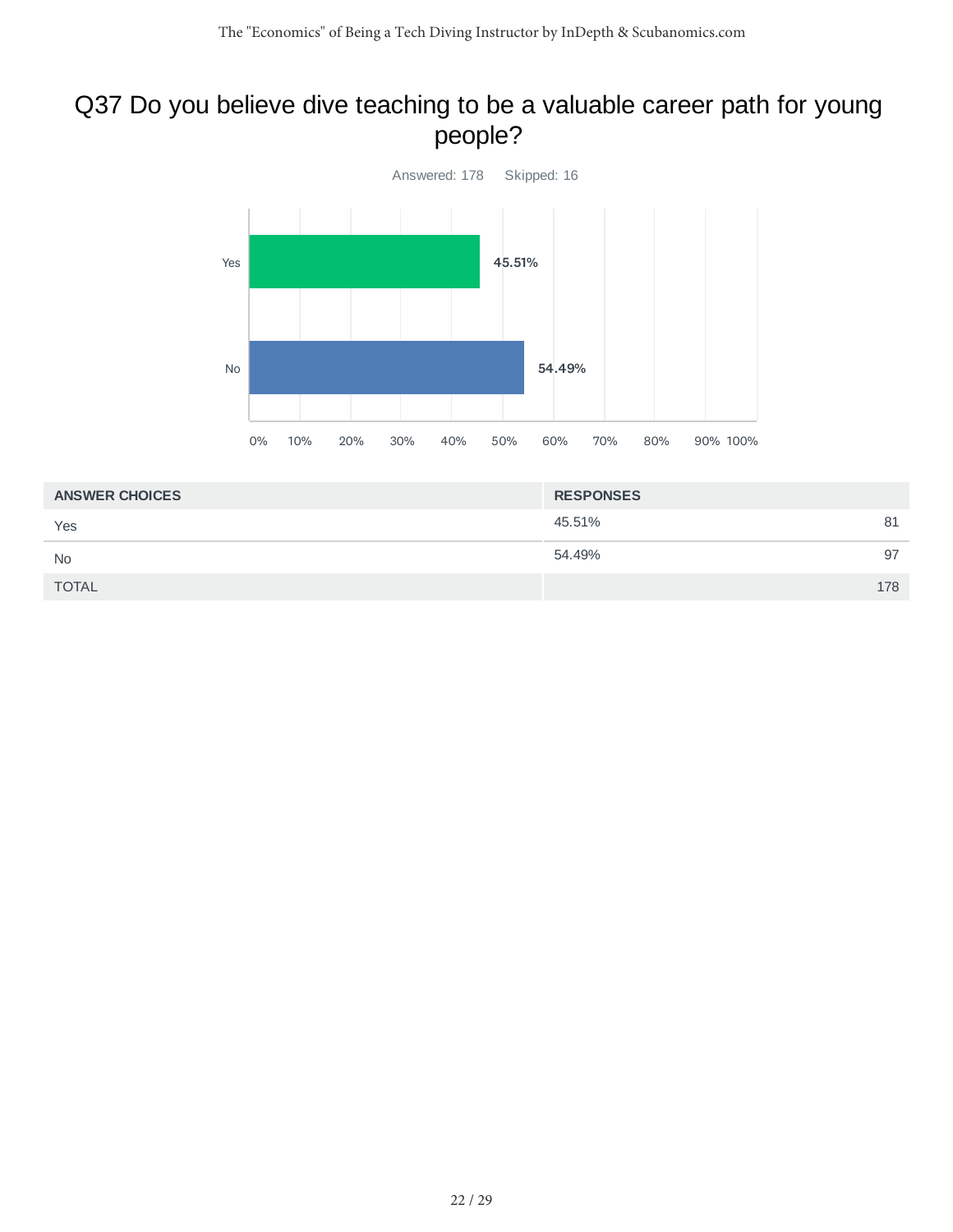### Q37 Do you believe dive teaching to be a valuable career path for young people?



| 45.51%<br>Yes<br>54.49% | <b>ANSWER CHOICES</b> |     |
|-------------------------|-----------------------|-----|
|                         |                       | 81  |
| <b>No</b>               |                       | 97  |
| <b>TOTAL</b>            |                       | 178 |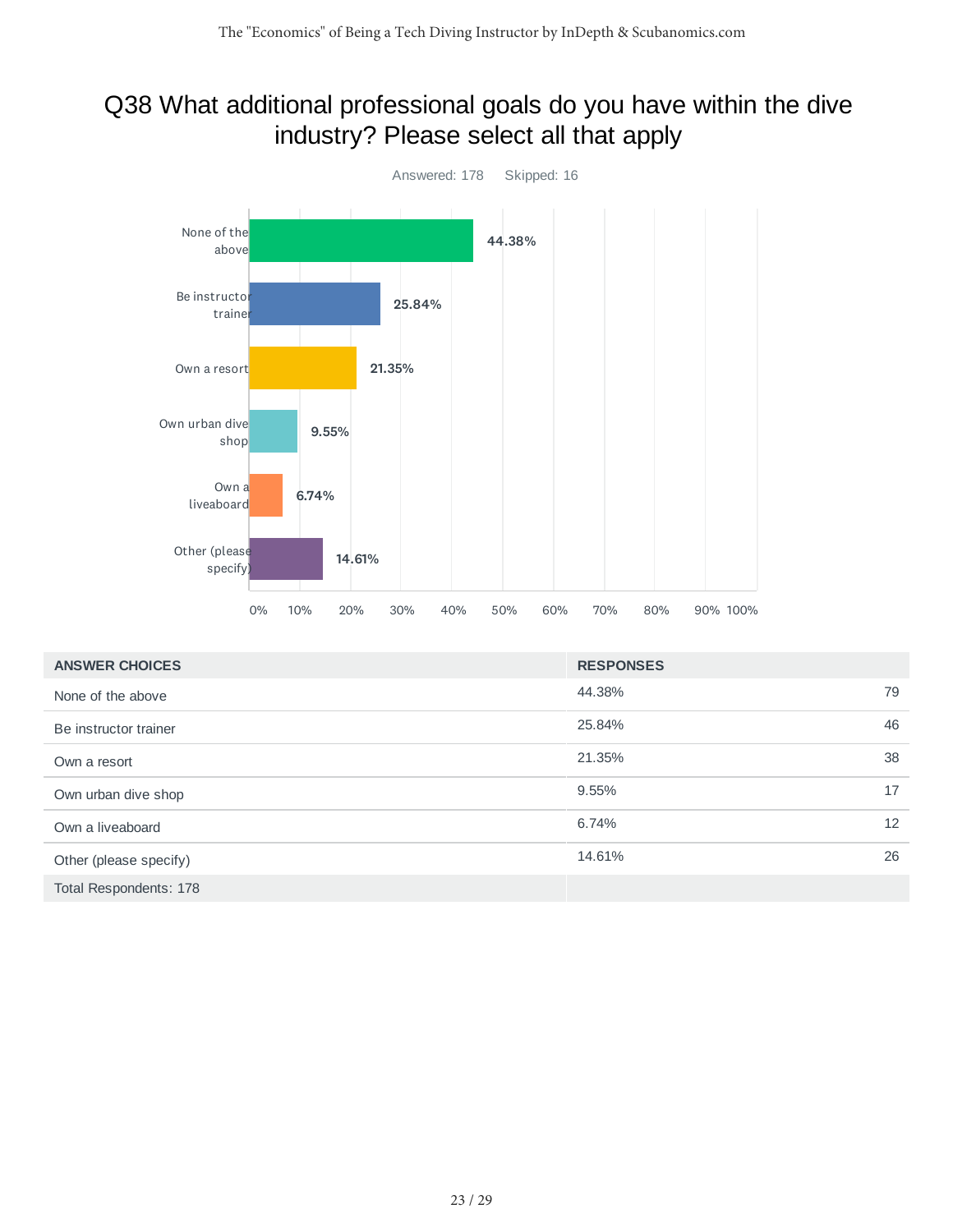### Q38 What additional professional goals do you have within the dive industry? Please select all that apply



| <b>ANSWER CHOICES</b>  | <b>RESPONSES</b> |    |
|------------------------|------------------|----|
| None of the above      | 44.38%           | 79 |
| Be instructor trainer  | 25.84%           | 46 |
| Own a resort           | 21.35%           | 38 |
| Own urban dive shop    | 9.55%            | 17 |
| Own a liveaboard       | 6.74%            | 12 |
| Other (please specify) | 14.61%           | 26 |
| Total Respondents: 178 |                  |    |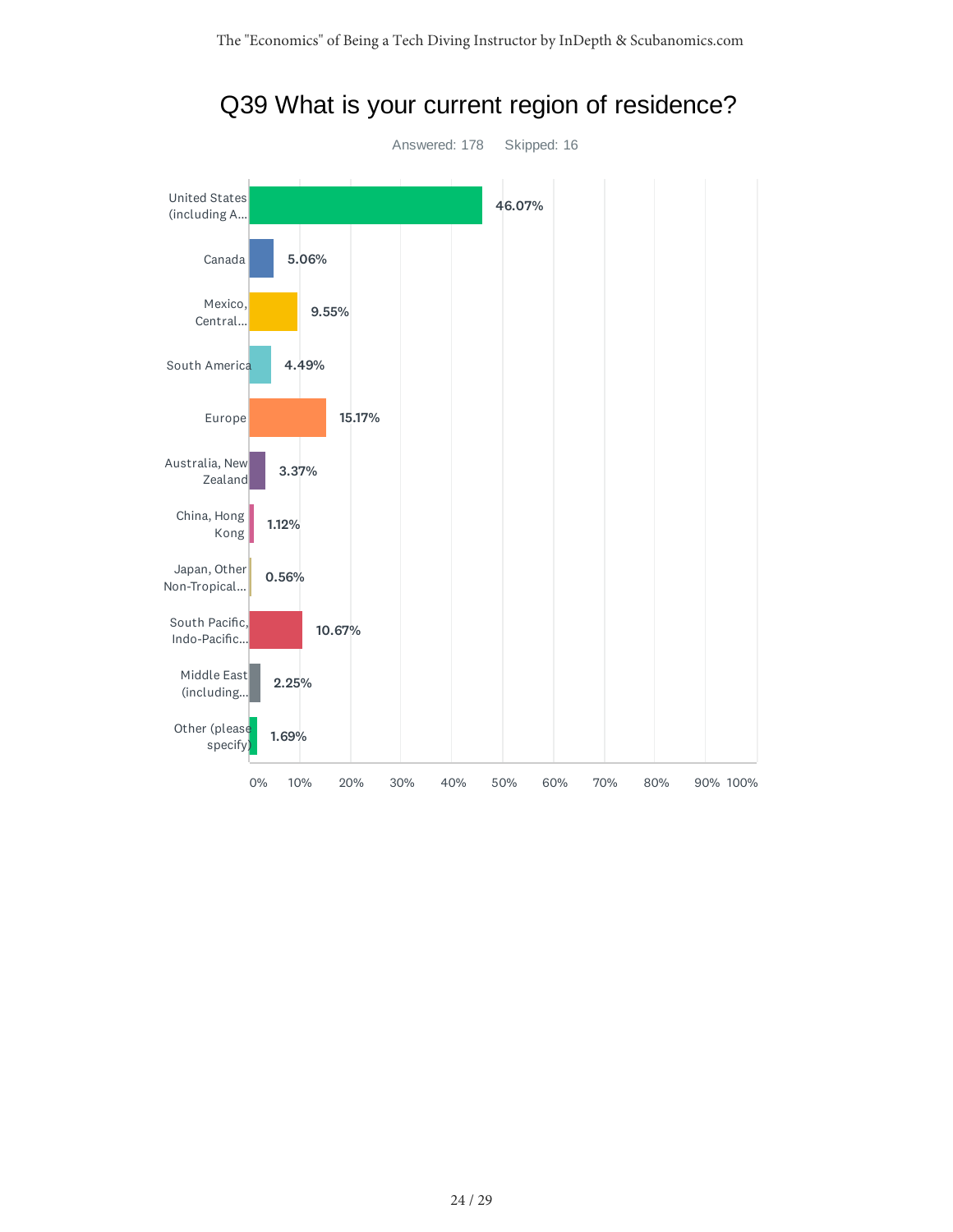

Q39 What is your current region of residence?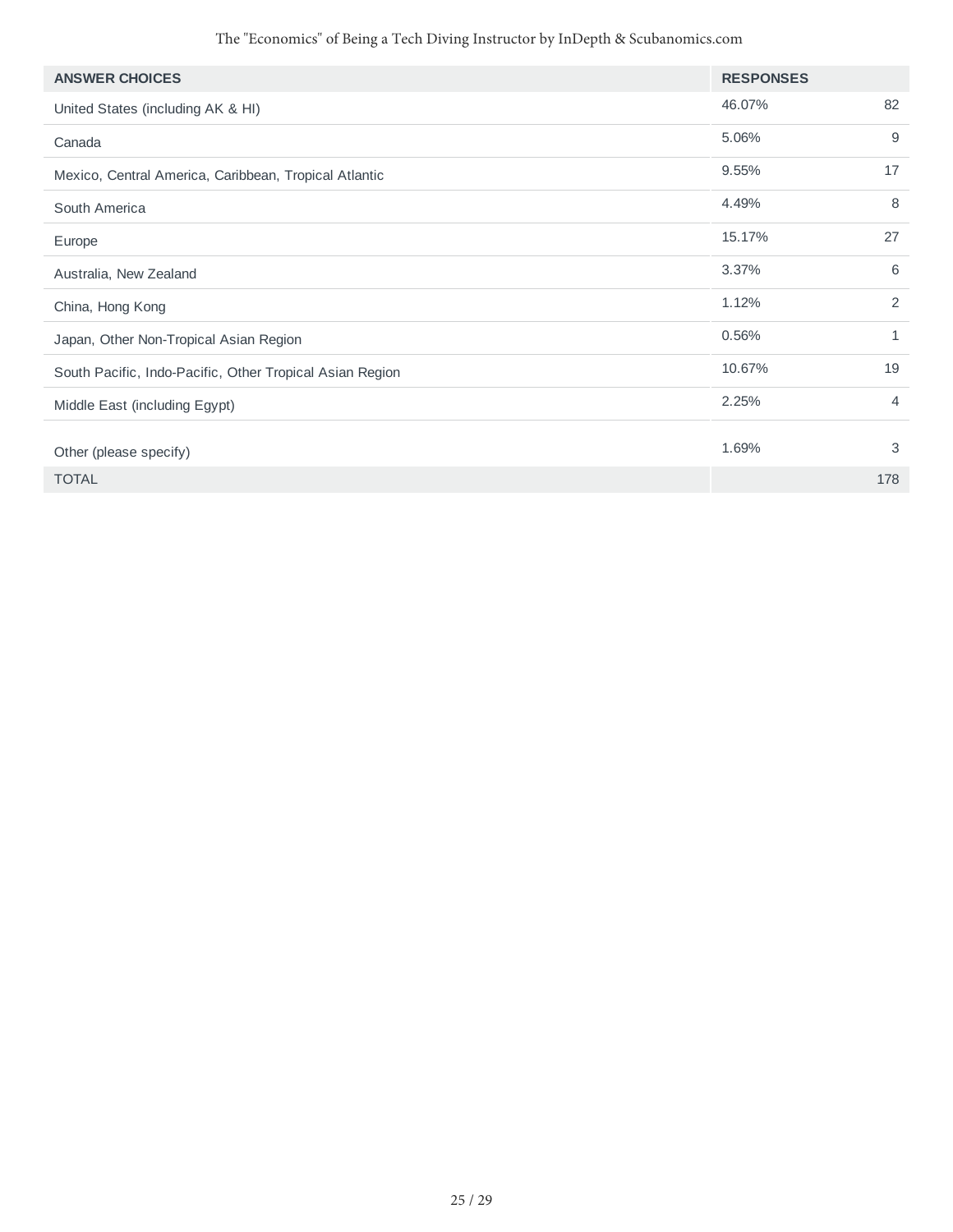| <b>ANSWER CHOICES</b>                                    | <b>RESPONSES</b> |     |
|----------------------------------------------------------|------------------|-----|
| United States (including AK & HI)                        | 46.07%           | 82  |
| Canada                                                   | 5.06%            | 9   |
| Mexico, Central America, Caribbean, Tropical Atlantic    | 9.55%            | 17  |
| South America                                            | 4.49%            | 8   |
| Europe                                                   | 15.17%           | 27  |
| Australia, New Zealand                                   | 3.37%            | 6   |
| China, Hong Kong                                         | 1.12%            | 2   |
| Japan, Other Non-Tropical Asian Region                   | 0.56%            | 1   |
| South Pacific, Indo-Pacific, Other Tropical Asian Region | 10.67%           | 19  |
| Middle East (including Egypt)                            | 2.25%            | 4   |
| Other (please specify)                                   | 1.69%            | 3   |
| <b>TOTAL</b>                                             |                  | 178 |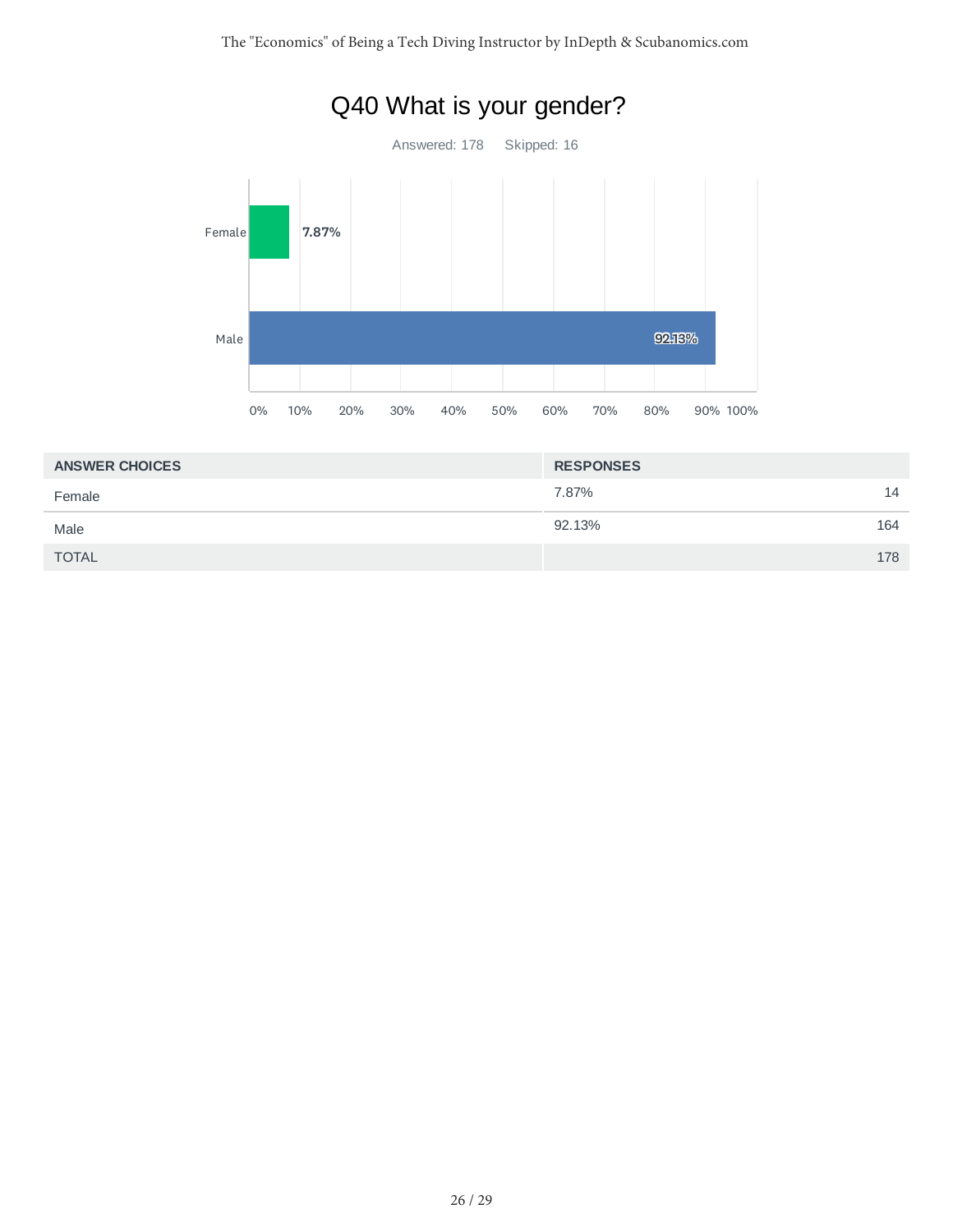

| <b>ANSWER CHOICES</b> | <b>RESPONSES</b> |     |
|-----------------------|------------------|-----|
| Female                | 7.87%            | 14  |
| Male                  | 92.13%           | 164 |
| <b>TOTAL</b>          |                  | 178 |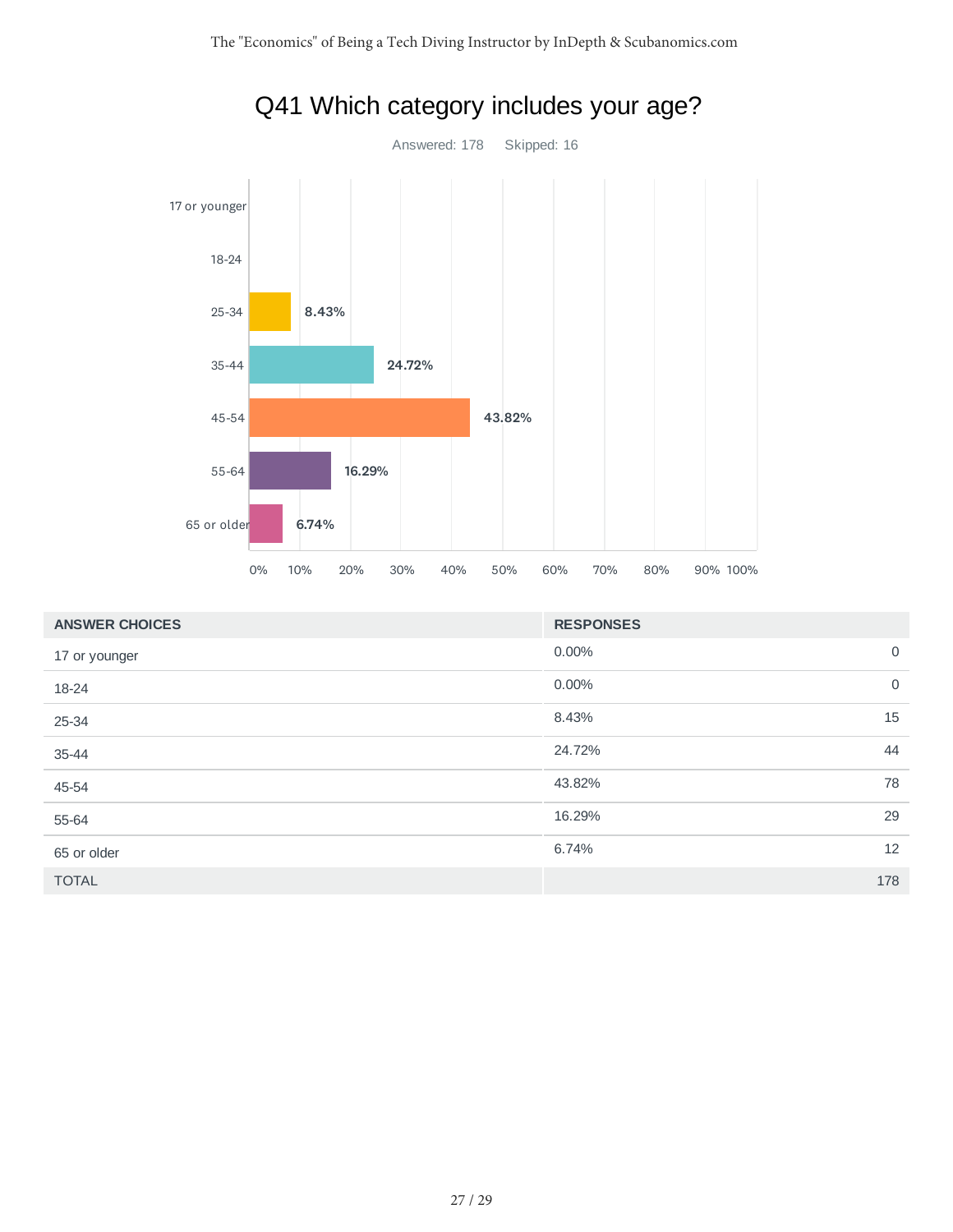

| <b>ANSWER CHOICES</b> | <b>RESPONSES</b> |                |
|-----------------------|------------------|----------------|
| 17 or younger         | 0.00%            | $\overline{0}$ |
| 18-24                 | 0.00%            | $\overline{0}$ |
| 25-34                 | 8.43%            | 15             |
| 35-44                 | 24.72%           | 44             |
| 45-54                 | 43.82%           | 78             |
| 55-64                 | 16.29%           | 29             |
| 65 or older           | 6.74%            | 12             |
| <b>TOTAL</b>          |                  | 178            |

# Q41 Which category includes your age?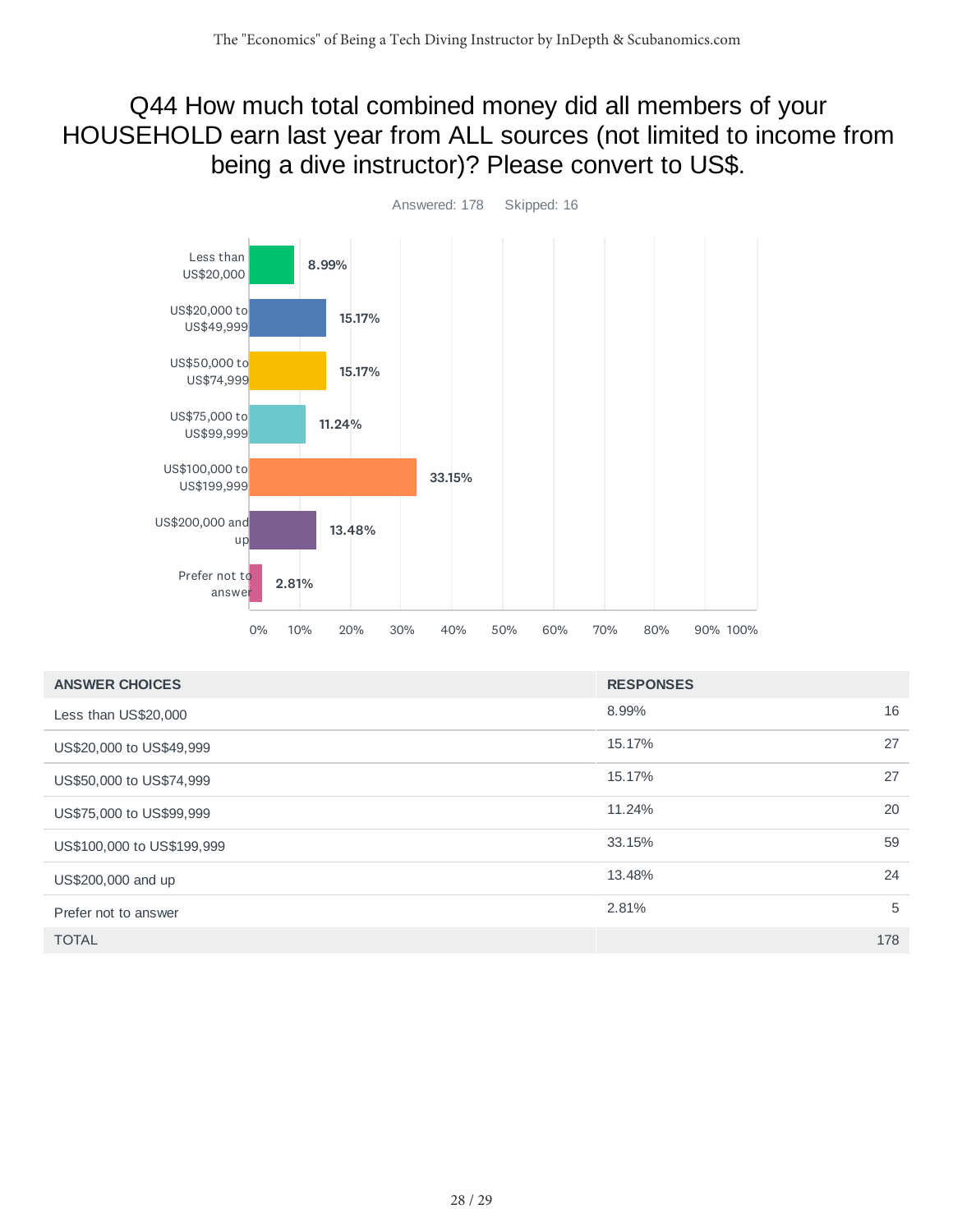### Q44 How much total combined money did all members of your HOUSEHOLD earn last year from ALL sources (not limited to income from being a dive instructor)? Please convert to US\$.



| <b>ANSWER CHOICES</b>      | <b>RESPONSES</b> |     |
|----------------------------|------------------|-----|
| Less than US\$20,000       | 8.99%            | 16  |
| US\$20,000 to US\$49,999   | 15.17%           | 27  |
| US\$50,000 to US\$74,999   | 15.17%           | 27  |
| US\$75,000 to US\$99,999   | 11.24%           | 20  |
| US\$100,000 to US\$199,999 | 33.15%           | 59  |
| US\$200,000 and up         | 13.48%           | 24  |
| Prefer not to answer       | 2.81%            | 5   |
| <b>TOTAL</b>               |                  | 178 |